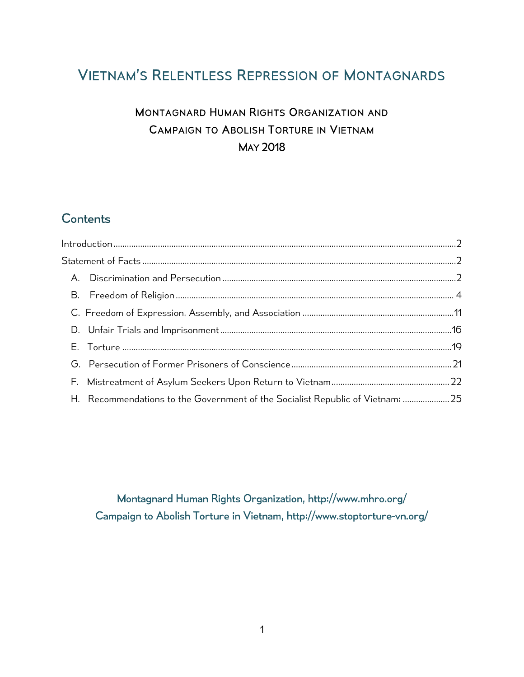# VIETNAM'S RELENTLESS REPRESSION OF MONTAGNARDS

# MONTAGNARD HUMAN RIGHTS ORGANIZATION AND CAMPAIGN TO ABOLISH TORTURE IN VIETNAM MAY 2018

# **Contents**

|  | H. Recommendations to the Government of the Socialist Republic of Vietnam: 25 |  |
|--|-------------------------------------------------------------------------------|--|

Montagnard Human Rights Organization,<http://www.mhro.org/> Campaign to Abolish Torture in Vietnam, http://www.stoptorture-vn.org/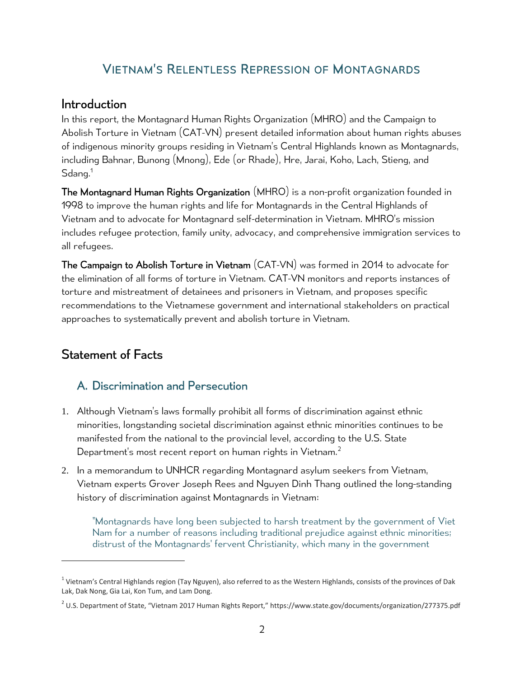## VIETNAM'S RELENTLESS REPRESSION OF MONTAGNARDS

### <span id="page-1-0"></span>Introduction

In this report, the Montagnard Human Rights Organization (MHRO) and the Campaign to Abolish Torture in Vietnam (CAT-VN) present detailed information about human rights abuses of indigenous minority groups residing in Vietnam's Central Highlands known as Montagnards, including Bahnar, Bunong (Mnong), Ede (or Rhade), Hre, Jarai, Koho, Lach, Stieng, and  $\mathsf{S}$ dang. $^1$ 

The Montagnard Human Rights Organization (MHRO) is a non-profit organization founded in 1998 to improve the human rights and life for Montagnards in the Central Highlands of Vietnam and to advocate for Montagnard self-determination in Vietnam. MHRO's mission includes refugee protection, family unity, advocacy, and comprehensive immigration services to all refugees.

The Campaign to Abolish Torture in Vietnam (CAT-VN) was formed in 2014 to advocate for the elimination of all forms of torture in Vietnam. CAT-VN monitors and reports instances of torture and mistreatment of detainees and prisoners in Vietnam, and proposes specific recommendations to the Vietnamese government and international stakeholders on practical approaches to systematically prevent and abolish torture in Vietnam.

# <span id="page-1-2"></span><span id="page-1-1"></span>Statement of Facts

### A. Discrimination and Persecution

- 1. Although Vietnam's laws formally prohibit all forms of discrimination against ethnic minorities, longstanding societal discrimination against ethnic minorities continues to be manifested from the national to the provincial level, according to the U.S. State Department's most recent report on human rights in Vietnam.<sup>2</sup>
- 2. In a memorandum to UNHCR regarding Montagnard asylum seekers from Vietnam, Vietnam experts Grover Joseph Rees and Nguyen Dinh Thang outlined the long-standing history of discrimination against Montagnards in Vietnam:

"Montagnards have long been subjected to harsh treatment by the government of Viet Nam for a number of reasons including traditional prejudice against ethnic minorities; distrust of the Montagnards' fervent Christianity, which many in the government

 $^1$  Vietnam's Central Highlands region (Tay Nguyen), also referred to as the Western Highlands, consists of the provinces of Dak Lak, Dak Nong, Gia Lai, Kon Tum, and Lam Dong.

 $^2$  U.S. Department of State, "Vietnam 2017 Human Rights Report," https://www.state.gov/documents/organization/277375.pdf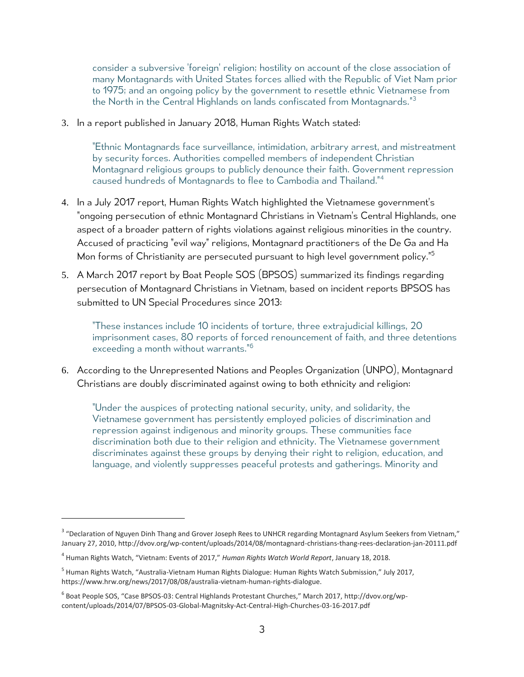consider a subversive 'foreign' religion; hostility on account of the close association of many Montagnards with United States forces allied with the Republic of Viet Nam prior to 1975; and an ongoing policy by the government to resettle ethnic Vietnamese from the North in the Central Highlands on lands confiscated from Montagnards." 3

3. In a report published in January 2018, Human Rights Watch stated:

"Ethnic Montagnards face surveillance, intimidation, arbitrary arrest, and mistreatment by security forces. Authorities compelled members of independent Christian Montagnard religious groups to publicly denounce their faith. Government repression caused hundreds of Montagnards to flee to Cambodia and Thailand."<sup>4</sup>

- 4. In a July 2017 report, Human Rights Watch highlighted the Vietnamese government's "ongoing persecution of ethnic Montagnard Christians in Vietnam's Central Highlands, one aspect of a broader pattern of rights violations against religious minorities in the country. Accused of practicing "evil way" religions, Montagnard practitioners of the De Ga and Ha Mon forms of Christianity are persecuted pursuant to high level government policy."<sup>5</sup>
- 5. A March 2017 report by Boat People SOS (BPSOS) summarized its findings regarding persecution of Montagnard Christians in Vietnam, based on incident reports BPSOS has submitted to UN Special Procedures since 2013:

"These instances include 10 incidents of torture, three extrajudicial killings, 20 imprisonment cases, 80 reports of forced renouncement of faith, and three detentions exceeding a month without warrants."<sup>6</sup>

6. According to the Unrepresented Nations and Peoples Organization (UNPO), Montagnard Christians are doubly discriminated against owing to both ethnicity and religion:

"Under the auspices of protecting national security, unity, and solidarity, the Vietnamese government has persistently employed policies of discrimination and repression against indigenous and minority groups. These communities face discrimination both due to their religion and ethnicity. The Vietnamese government discriminates against these groups by denying their right to religion, education, and language, and violently suppresses peaceful protests and gatherings. Minority and

<sup>&</sup>lt;sup>3</sup> "Declaration of Nguyen Dinh Thang and Grover Joseph Rees to UNHCR regarding Montagnard Asylum Seekers from Vietnam," January 27, 2010[, http://dvov.org/wp-content/uploads/2014/08/montagnard-christians-thang-rees-declaration-jan-20111.pdf](http://dvov.org/wp-content/uploads/2014/08/montagnard-christians-thang-rees-declaration-jan-20111.pdf)

<sup>4</sup> Human Rights Watch, "Vietnam: Events of 2017," *Human Rights Watch World Report*, January 18, 2018.

<sup>&</sup>lt;sup>5</sup> Human Rights Watch, "Australia-Vietnam Human Rights Dialogue: Human Rights Watch Submission," July 2017, https://www.hrw.org/news/2017/08/08/australia-vietnam-human-rights-dialogue.

<sup>&</sup>lt;sup>6</sup> Boat People SOS, "Case BPSOS-03: Central Highlands Protestant Churches," March 2017, [http://dvov.org/wp](http://dvov.org/wp-content/uploads/2014/07/BPSOS-03-Global-Magnitsky-Act-Central-High-Churches-03-16-2017.pdf)[content/uploads/2014/07/BPSOS-03-Global-Magnitsky-Act-Central-High-Churches-03-16-2017.pdf](http://dvov.org/wp-content/uploads/2014/07/BPSOS-03-Global-Magnitsky-Act-Central-High-Churches-03-16-2017.pdf)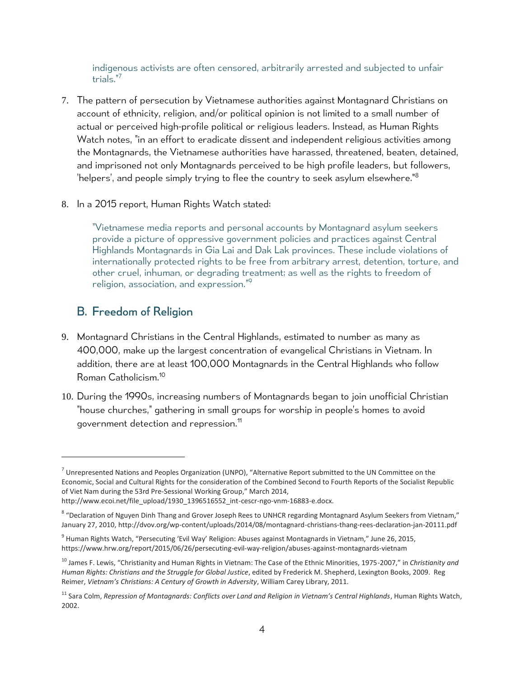indigenous activists are often censored, arbitrarily arrested and subjected to unfair trials."<sup>7</sup>

- 7. The pattern of persecution by Vietnamese authorities against Montagnard Christians on account of ethnicity, religion, and/or political opinion is not limited to a small number of actual or perceived high-profile political or religious leaders. Instead, as Human Rights Watch notes, "in an effort to eradicate dissent and independent religious activities among the Montagnards, the Vietnamese authorities have harassed, threatened, beaten, detained, and imprisoned not only Montagnards perceived to be high profile leaders, but followers, 'helpers', and people simply trying to flee the country to seek asylum elsewhere."<sup>8</sup>
- 8. In a 2015 report, Human Rights Watch stated:

"Vietnamese media reports and personal accounts by Montagnard asylum seekers provide a picture of oppressive government policies and practices against Central Highlands Montagnards in Gia Lai and Dak Lak provinces. These include violations of internationally protected rights to be free from arbitrary arrest, detention, torture, and other cruel, inhuman, or degrading treatment; as well as the rights to freedom of religion, association, and expression." 9

### <span id="page-3-0"></span>B. Freedom of Religion

- 9. Montagnard Christians in the Central Highlands, estimated to number as many as 400,000, make up the largest concentration of evangelical Christians in Vietnam. In addition, there are at least 100,000 Montagnards in the Central Highlands who follow Roman Catholicism.<sup>10</sup>
- 10. During the 1990s, increasing numbers of Montagnards began to join unofficial Christian "house churches," gathering in small groups for worship in people's homes to avoid government detection and repression.<sup>11</sup>

 $^7$  Unrepresented Nations and Peoples Organization (UNPO), "Alternative Report submitted to the UN Committee on the Economic, Social and Cultural Rights for the consideration of the Combined Second to Fourth Reports of the Socialist Republic of Viet Nam during the 53rd Pre-Sessional Working Group," March 2014, http://www.ecoi.net/file\_upload/1930\_1396516552\_int-cescr-ngo-vnm-16883-e.docx.

<sup>&</sup>lt;sup>8</sup> "Declaration of Nguyen Dinh Thang and Grover Joseph Rees to UNHCR regarding Montagnard Asylum Seekers from Vietnam," January 27, 2010[, http://dvov.org/wp-content/uploads/2014/08/montagnard-christians-thang-rees-declaration-jan-20111.pdf](http://dvov.org/wp-content/uploads/2014/08/montagnard-christians-thang-rees-declaration-jan-20111.pdf)

<sup>&</sup>lt;sup>9</sup> Human Rights Watch, "Persecuting 'Evil Way' Religion: Abuses against Montagnards in Vietnam," June 26, 2015, https://www.hrw.org/report/2015/06/26/persecuting-evil-way-religion/abuses-against-montagnards-vietnam

<sup>10</sup> James F. Lewis, "Christianity and Human Rights in Vietnam: The Case of the Ethnic Minorities, 1975-2007," in *Christianity and Human Rights: Christians and the Struggle for Global Justice*, edited by Frederick M. Shepherd, Lexington Books, 2009. Reg Reimer, *Vietnam's Christians: A Century of Growth in Adversity*, William Carey Library, 2011.

<sup>11</sup> Sara Colm, *Repression of Montagnards: Conflicts over Land and Religion in Vietnam's Central Highlands*, Human Rights Watch, 2002.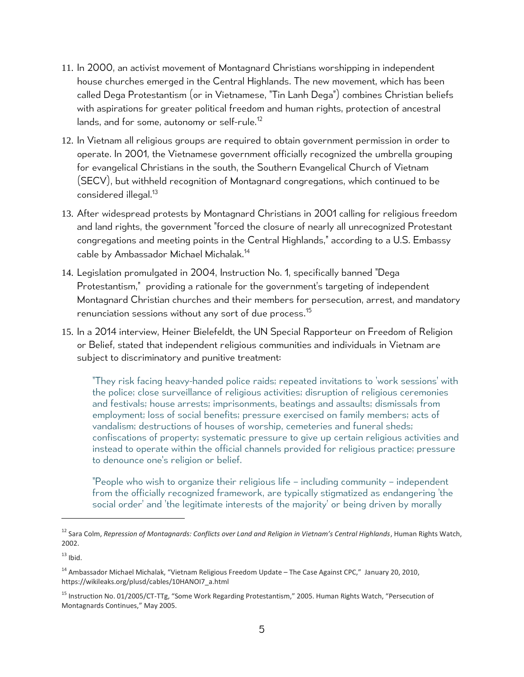- 11. In 2000, an activist movement of Montagnard Christians worshipping in independent house churches emerged in the Central Highlands. The new movement, which has been called Dega Protestantism (or in Vietnamese, "Tin Lanh Dega") combines Christian beliefs with aspirations for greater political freedom and human rights, protection of ancestral lands, and for some, autonomy or self-rule.<sup>12</sup>
- 12. In Vietnam all religious groups are required to obtain government permission in order to operate. In 2001, the Vietnamese government officially recognized the umbrella grouping for evangelical Christians in the south, the Southern Evangelical Church of Vietnam (SECV), but withheld recognition of Montagnard congregations, which continued to be considered illegal.<sup>13</sup>
- 13. After widespread protests by Montagnard Christians in 2001 calling for religious freedom and land rights, the government "forced the closure of nearly all unrecognized Protestant congregations and meeting points in the Central Highlands," according to a U.S. Embassy cable by Ambassador Michael Michalak. 14
- 14. Legislation promulgated in 2004, Instruction No. 1, specifically banned "Dega Protestantism," providing a rationale for the government's targeting of independent Montagnard Christian churches and their members for persecution, arrest, and mandatory renunciation sessions without any sort of due process. 15
- 15. In a 2014 interview, Heiner Bielefeldt, the UN Special Rapporteur on Freedom of Religion or Belief, stated that independent religious communities and individuals in Vietnam are subject to discriminatory and punitive treatment:

"They risk facing heavy-handed police raids; repeated invitations to 'work sessions' with the police; close surveillance of religious activities; disruption of religious ceremonies and festivals; house arrests; imprisonments, beatings and assaults; dismissals from employment; loss of social benefits; pressure exercised on family members; acts of vandalism; destructions of houses of worship, cemeteries and funeral sheds; confiscations of property; systematic pressure to give up certain religious activities and instead to operate within the official channels provided for religious practice; pressure to denounce one's religion or belief.

"People who wish to organize their religious life – including community – independent from the officially recognized framework, are typically stigmatized as endangering 'the social order' and 'the legitimate interests of the majority' or being driven by morally

 $13$  Ibid.

<sup>12</sup> Sara Colm, *Repression of Montagnards: Conflicts over Land and Religion in Vietnam's Central Highlands*, Human Rights Watch, 2002.

<sup>&</sup>lt;sup>14</sup> Ambassador Michael Michalak, "Vietnam Religious Freedom Update – The Case Against CPC," January 20, 2010, https://wikileaks.org/plusd/cables/10HANOI7\_a.html

<sup>&</sup>lt;sup>15</sup> Instruction No. 01/2005/CT-TTg, "Some Work Regarding Protestantism," 2005. Human Rights Watch, "Persecution of Montagnards Continues," May 2005.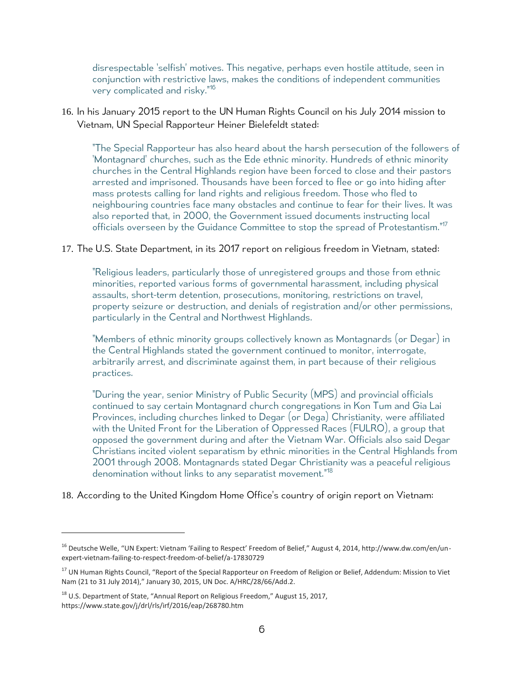disrespectable 'selfish' motives. This negative, perhaps even hostile attitude, seen in conjunction with restrictive laws, makes the conditions of independent communities very complicated and risky."<sup>16</sup>

16. In his January 2015 report to the UN Human Rights Council on his July 2014 mission to Vietnam, UN Special Rapporteur Heiner Bielefeldt stated:

"The Special Rapporteur has also heard about the harsh persecution of the followers of 'Montagnard' churches, such as the Ede ethnic minority. Hundreds of ethnic minority churches in the Central Highlands region have been forced to close and their pastors arrested and imprisoned. Thousands have been forced to flee or go into hiding after mass protests calling for land rights and religious freedom. Those who fled to neighbouring countries face many obstacles and continue to fear for their lives. It was also reported that, in 2000, the Government issued documents instructing local officials overseen by the Guidance Committee to stop the spread of Protestantism."<sup>17</sup>

#### 17. The U.S. State Department, in its 2017 report on religious freedom in Vietnam, stated:

"Religious leaders, particularly those of unregistered groups and those from ethnic minorities, reported various forms of governmental harassment, including physical assaults, short-term detention, prosecutions, monitoring, restrictions on travel, property seizure or destruction, and denials of registration and/or other permissions, particularly in the Central and Northwest Highlands.

"Members of ethnic minority groups collectively known as Montagnards (or Degar) in the Central Highlands stated the government continued to monitor, interrogate, arbitrarily arrest, and discriminate against them, in part because of their religious practices.

"During the year, senior Ministry of Public Security (MPS) and provincial officials continued to say certain Montagnard church congregations in Kon Tum and Gia Lai Provinces, including churches linked to Degar (or Dega) Christianity, were affiliated with the United Front for the Liberation of Oppressed Races (FULRO), a group that opposed the government during and after the Vietnam War. Officials also said Degar Christians incited violent separatism by ethnic minorities in the Central Highlands from 2001 through 2008. Montagnards stated Degar Christianity was a peaceful religious denomination without links to any separatist movement." 18

18. According to the United Kingdom Home Office's country of origin report on Vietnam:

l

<sup>&</sup>lt;sup>16</sup> Deutsche Welle, "UN Expert: Vietnam 'Failing to Respect' Freedom of Belief," August 4, 2014, http://www.dw.com/en/unexpert-vietnam-failing-to-respect-freedom-of-belief/a-17830729

<sup>&</sup>lt;sup>17</sup> UN Human Rights Council, "Report of the Special Rapporteur on Freedom of Religion or Belief, Addendum: Mission to Viet Nam (21 to 31 July 2014)," January 30, 2015, UN Doc. A/HRC/28/66/Add.2.

<sup>&</sup>lt;sup>18</sup> U.S. Department of State, "Annual Report on Religious Freedom," August 15, 2017, <https://www.state.gov/j/drl/rls/irf/2016/eap/268780.htm>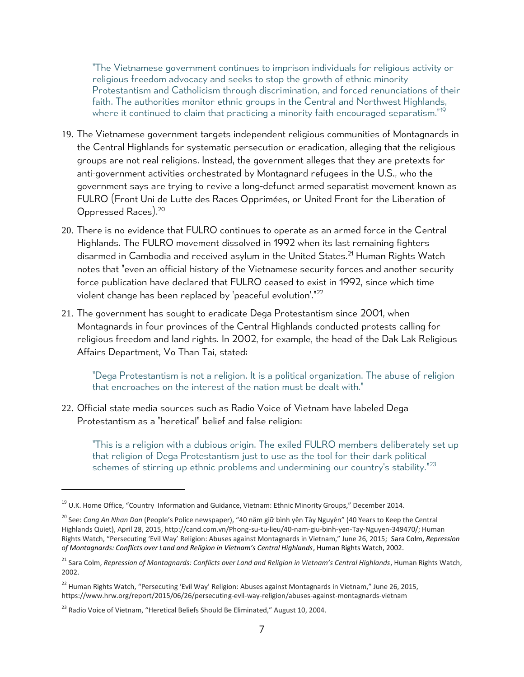"The Vietnamese government continues to imprison individuals for religious activity or religious freedom advocacy and seeks to stop the growth of ethnic minority Protestantism and Catholicism through discrimination, and forced renunciations of their faith. The authorities monitor ethnic groups in the Central and Northwest Highlands, where it continued to claim that practicing a minority faith encouraged separatism."<sup>19</sup>

- 19. The Vietnamese government targets independent religious communities of Montagnards in the Central Highlands for systematic persecution or eradication, alleging that the religious groups are not real religions. Instead, the government alleges that they are pretexts for anti-government activities orchestrated by Montagnard refugees in the U.S., who the government says are trying to revive a long-defunct armed separatist movement known as FULRO (Front Uni de Lutte des Races Opprimées, or United Front for the Liberation of Oppressed Races).<sup>20</sup>
- 20. There is no evidence that FULRO continues to operate as an armed force in the Central Highlands. The FULRO movement dissolved in 1992 when its last remaining fighters disarmed in Cambodia and received asylum in the United States.<sup>21</sup> Human Rights Watch notes that "even an official history of the Vietnamese security forces and another security force publication have declared that FULRO ceased to exist in 1992, since which time violent change has been replaced by 'peaceful evolution'."<sup>22</sup>
- 21. The government has sought to eradicate Dega Protestantism since 2001, when Montagnards in four provinces of the Central Highlands conducted protests calling for religious freedom and land rights. In 2002, for example, the head of the Dak Lak Religious Affairs Department, Vo Than Tai, stated:

"Dega Protestantism is not a religion. It is a political organization. The abuse of religion that encroaches on the interest of the nation must be dealt with."

22. Official state media sources such as Radio Voice of Vietnam have labeled Dega Protestantism as a "heretical" belief and false religion:

"This is a religion with a dubious origin. The exiled FULRO members deliberately set up that religion of Dega Protestantism just to use as the tool for their dark political schemes of stirring up ethnic problems and undermining our country's stability."<sup>23</sup>

l

<sup>&</sup>lt;sup>19</sup> U.K. Home Office, "Country Information and Guidance, Vietnam: Ethnic Minority Groups," December 2014.

<sup>20</sup> See: *Cong An Nhan Dan* (People's Police newspaper), "40 năm giữ bình yên Tây Nguyên" (40 Years to Keep the Central Highlands Quiet), April 28, 2015[, http://cand.com.vn/Phong-su-tu-lieu/40-nam-giu-binh-yen-Tay-Nguyen-349470/;](http://cand.com.vn/Phong-su-tu-lieu/40-nam-giu-binh-yen-Tay-Nguyen-349470/) Human Rights Watch, "Persecuting 'Evil Way' Religion: Abuses against Montagnards in Vietnam," June 26, 2015; Sara Colm, *Repression of Montagnards: Conflicts over Land and Religion in Vietnam's Central Highlands*, Human Rights Watch, 2002.

<sup>21</sup> Sara Colm, *Repression of Montagnards: Conflicts over Land and Religion in Vietnam's Central Highlands*, Human Rights Watch, 2002.

<sup>&</sup>lt;sup>22</sup> Human Rights Watch, "Persecuting 'Evil Way' Religion: Abuses against Montagnards in Vietnam," June 26, 2015, https://www.hrw.org/report/2015/06/26/persecuting-evil-way-religion/abuses-against-montagnards-vietnam

<sup>&</sup>lt;sup>23</sup> Radio Voice of Vietnam, "Heretical Beliefs Should Be Eliminated," August 10, 2004.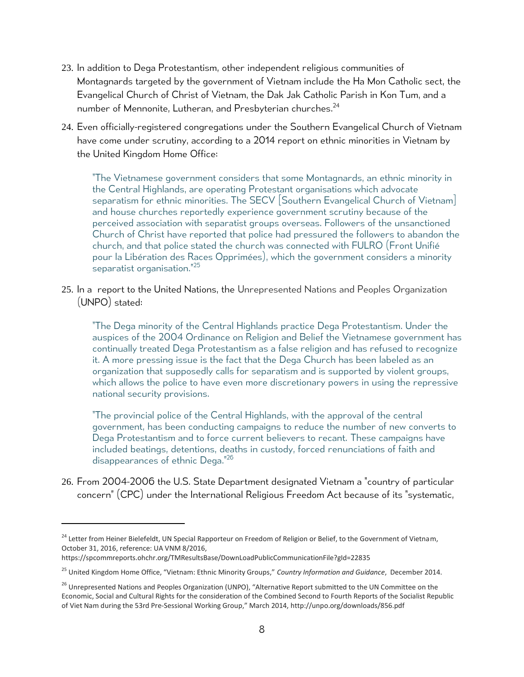- 23. In addition to Dega Protestantism, other independent religious communities of Montagnards targeted by the government of Vietnam include the Ha Mon Catholic sect, the Evangelical Church of Christ of Vietnam, the Dak Jak Catholic Parish in Kon Tum, and a number of Mennonite, Lutheran, and Presbyterian churches. 24
- 24. Even officially-registered congregations under the Southern Evangelical Church of Vietnam have come under scrutiny, according to a 2014 report on ethnic minorities in Vietnam by the United Kingdom Home Office:

"The Vietnamese government considers that some Montagnards, an ethnic minority in the Central Highlands, are operating Protestant organisations which advocate separatism for ethnic minorities. The SECV Southern Evangelical Church of Vietnam] and house churches reportedly experience government scrutiny because of the perceived association with separatist groups overseas. Followers of the unsanctioned Church of Christ have reported that police had pressured the followers to abandon the church, and that police stated the church was connected with FULRO (Front Unifié pour la Libération des Races Opprimées), which the government considers a minority separatist organisation."<sup>25</sup>

25. In a report to the United Nations, the Unrepresented Nations and Peoples Organization (UNPO) stated:

"The Dega minority of the Central Highlands practice Dega Protestantism. Under the auspices of the 2004 Ordinance on Religion and Belief the Vietnamese government has continually treated Dega Protestantism as a false religion and has refused to recognize it. A more pressing issue is the fact that the Dega Church has been labeled as an organization that supposedly calls for separatism and is supported by violent groups, which allows the police to have even more discretionary powers in using the repressive national security provisions.

"The provincial police of the Central Highlands, with the approval of the central government, has been conducting campaigns to reduce the number of new converts to Dega Protestantism and to force current believers to recant. These campaigns have included beatings, detentions, deaths in custody, forced renunciations of faith and disappearances of ethnic Dega."<sup>26</sup>

26. From 2004-2006 the U.S. State Department designated Vietnam a "country of particular concern" (CPC) under the International Religious Freedom Act because of its "systematic,

https://spcommreports.ohchr.org/TMResultsBase/DownLoadPublicCommunicationFile?gId=22835

<sup>&</sup>lt;sup>24</sup> Letter from Heiner Bielefeldt, UN Special Rapporteur on Freedom of Religion or Belief, to the Government of Vietnam, October 31, 2016, reference: UA VNM 8/2016,

<sup>25</sup> United Kingdom Home Office, "Vietnam: Ethnic Minority Groups," *Country Information and Guidance*, December 2014.

<sup>&</sup>lt;sup>26</sup> Unrepresented Nations and Peoples Organization (UNPO), "Alternative Report submitted to the UN Committee on the Economic, Social and Cultural Rights for the consideration of the Combined Second to Fourth Reports of the Socialist Republic of Viet Nam during the 53rd Pre-Sessional Working Group," March 2014, <http://unpo.org/downloads/856.pdf>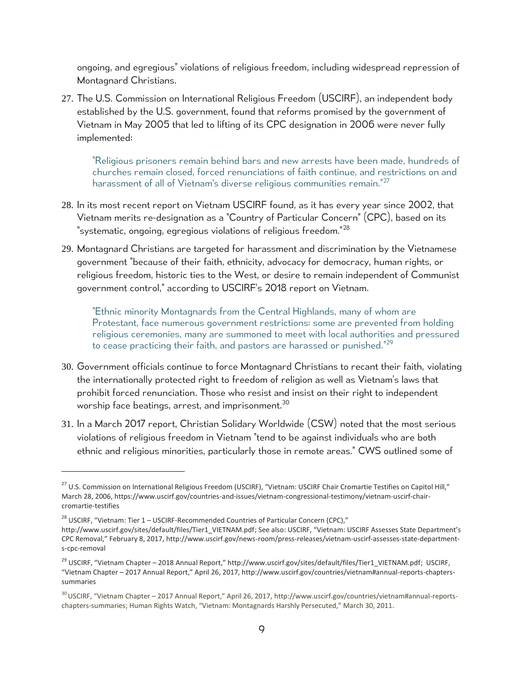ongoing, and egregious" violations of religious freedom, including widespread repression of Montagnard Christians.

27. The U.S. Commission on International Religious Freedom (USCIRF), an independent body established by the U.S. government, found that reforms promised by the government of Vietnam in May 2005 that led to lifting of its CPC designation in 2006 were never fully implemented:

"Religious prisoners remain behind bars and new arrests have been made, hundreds of churches remain closed, forced renunciations of faith continue, and restrictions on and harassment of all of Vietnam's diverse religious communities remain."<sup>27</sup>

- 28. In its most recent report on Vietnam USCIRF found, as it has every year since 2002, that Vietnam merits re-designation as a "Country of Particular Concern" (CPC), based on its "systematic, ongoing, egregious violations of religious freedom."<sup>28</sup>
- 29. Montagnard Christians are targeted for harassment and discrimination by the Vietnamese government "because of their faith, ethnicity, advocacy for democracy, human rights, or religious freedom, historic ties to the West, or desire to remain independent of Communist government control," according to USCIRF's 2018 report on Vietnam.

"Ethnic minority Montagnards from the Central Highlands, many of whom are Protestant, face numerous government restrictions: some are prevented from holding religious ceremonies, many are summoned to meet with local authorities and pressured to cease practicing their faith, and pastors are harassed or punished." 29

- 30. Government officials continue to force Montagnard Christians to recant their faith, violating the internationally protected right to freedom of religion as well as Vietnam's laws that prohibit forced renunciation. Those who resist and insist on their right to independent worship face beatings, arrest, and imprisonment.<sup>30</sup>
- 31. In a March 2017 report, Christian Solidary Worldwide (CSW) noted that the most serious violations of religious freedom in Vietnam "tend to be against individuals who are both ethnic and religious minorities, particularly those in remote areas." CWS outlined some of

 $\overline{a}$ 

<sup>&</sup>lt;sup>27</sup> U.S. Commission on International Religious Freedom (USCIRF), "Vietnam: USCIRF Chair Cromartie Testifies on Capitol Hill," March 28, 2006, https://www.uscirf.gov/countries-and-issues/vietnam-congressional-testimony/vietnam-uscirf-chaircromartie-testifies

 $28$  USCIRF, "Vietnam: Tier 1 – USCIRF-Recommended Countries of Particular Concern (CPC),"

[http://www.uscirf.gov/sites/default/files/Tier1\\_VIETNAM.pdf;](http://www.uscirf.gov/sites/default/files/Tier1_VIETNAM.pdf) See also: USCIRF, "Vietnam: USCIRF Assesses State Department's CPC Removal," February 8, 2017, [http://www.uscirf.gov/news-room/press-releases/vietnam-uscirf-assesses-state-department](http://www.uscirf.gov/news-room/press-releases/vietnam-uscirf-assesses-state-department-s-cpc-removal)[s-cpc-removal](http://www.uscirf.gov/news-room/press-releases/vietnam-uscirf-assesses-state-department-s-cpc-removal)

<sup>&</sup>lt;sup>29</sup> USCIRF, "Vietnam Chapter – 2018 Annual Report," [http://www.uscirf.gov/sites/default/files/Tier1\\_VIETNAM.pdf;](http://www.uscirf.gov/sites/default/files/Tier1_VIETNAM.pdf) USCIRF, "Vietnam Chapter – 2017 Annual Report," April 26, 2017, http://www.uscirf.gov/countries/vietnam#annual-reports-chapterssummaries

 $30$ USCIRF, "Vietnam Chapter – 2017 Annual Report," April 26, 2017, [http://www.uscirf.gov/countries/vietnam#annual-reports](http://www.uscirf.gov/countries/vietnam#annual-reports-chapters-summaries)[chapters-summaries;](http://www.uscirf.gov/countries/vietnam#annual-reports-chapters-summaries) Human Rights Watch, "Vietnam: Montagnards Harshly Persecuted," March 30, 2011.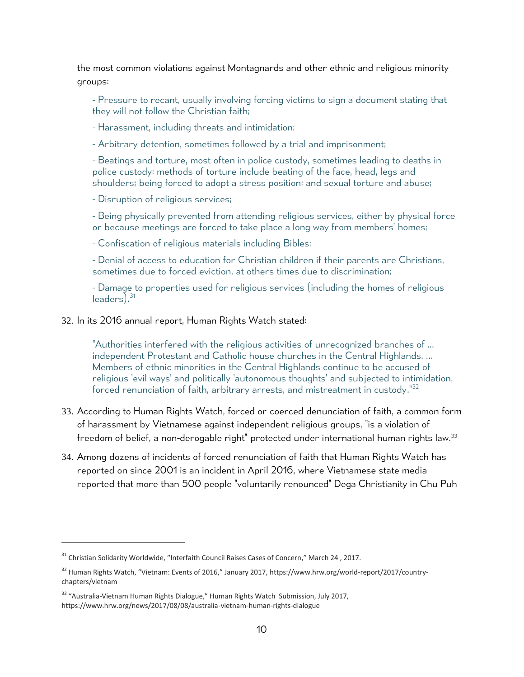the most common violations against Montagnards and other ethnic and religious minority groups:

- Pressure to recant, usually involving forcing victims to sign a document stating that they will not follow the Christian faith;

- Harassment, including threats and intimidation;

- Arbitrary detention, sometimes followed by a trial and imprisonment;

- Beatings and torture, most often in police custody, sometimes leading to deaths in police custody: methods of torture include beating of the face, head, legs and shoulders; being forced to adopt a stress position; and sexual torture and abuse;

- Disruption of religious services;

- Being physically prevented from attending religious services, either by physical force or because meetings are forced to take place a long way from members' homes;

- Confiscation of religious materials including Bibles;

- Denial of access to education for Christian children if their parents are Christians, sometimes due to forced eviction, at others times due to discrimination;

- Damage to properties used for religious services (including the homes of religious leaders). 31

32. In its 2016 annual report, Human Rights Watch stated:

"Authorities interfered with the religious activities of unrecognized branches of ... independent Protestant and Catholic house churches in the Central Highlands. … Members of ethnic minorities in the Central Highlands continue to be accused of religious 'evil ways' and politically 'autonomous thoughts' and subjected to intimidation, forced renunciation of faith, arbitrary arrests, and mistreatment in custody."<sup>32</sup>

- 33. According to Human Rights Watch, forced or coerced denunciation of faith, a common form of harassment by Vietnamese against independent religious groups, "is a violation of freedom of belief, a non-derogable right" protected under international human rights law.<sup>33</sup>
- 34. Among dozens of incidents of forced renunciation of faith that Human Rights Watch has reported on since 2001 is an incident in April 2016, where Vietnamese state media reported that more than 500 people "voluntarily renounced" Dega Christianity in Chu Puh

 $\overline{a}$ 

<sup>&</sup>lt;sup>31</sup> Christian Solidarity Worldwide, "Interfaith Council Raises Cases of Concern," March 24, 2017.

 $32$  Human Rights Watch, "Vietnam: Events of 2016," January 2017, [https://www.hrw.org/world-report/2017/country](https://www.hrw.org/world-report/2017/country-chapters/vietnam)[chapters/vietnam](https://www.hrw.org/world-report/2017/country-chapters/vietnam)

<sup>&</sup>lt;sup>33</sup> "Australia-Vietnam Human Rights Dialogue," Human Rights Watch Submission, July 2017, https://www.hrw.org/news/2017/08/08/australia-vietnam-human-rights-dialogue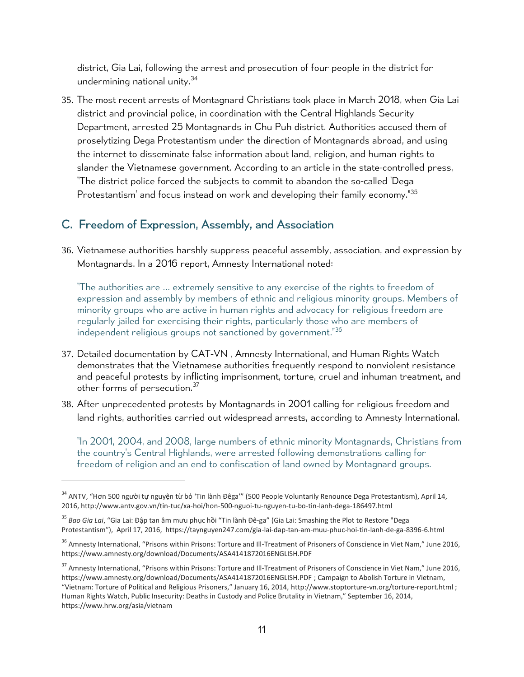district, Gia Lai, following the arrest and prosecution of four people in the district for undermining national unity.<sup>34</sup>

35. The most recent arrests of Montagnard Christians took place in March 2018, when Gia Lai district and provincial police, in coordination with the Central Highlands Security Department, arrested 25 Montagnards in Chu Puh district. Authorities accused them of proselytizing Dega Protestantism under the direction of Montagnards abroad, and using the internet to disseminate false information about land, religion, and human rights to slander the Vietnamese government. According to an article in the state-controlled press, "The district police forced the subjects to commit to abandon the so-called 'Dega Protestantism' and focus instead on work and developing their family economy." 35

### <span id="page-10-0"></span>C. Freedom of Expression, Assembly, and Association

36. Vietnamese authorities harshly suppress peaceful assembly, association, and expression by Montagnards. In a 2016 report, Amnesty International noted:

"The authorities are … extremely sensitive to any exercise of the rights to freedom of expression and assembly by members of ethnic and religious minority groups. Members of minority groups who are active in human rights and advocacy for religious freedom are regularly jailed for exercising their rights, particularly those who are members of independent religious groups not sanctioned by government." 36

- 37. Detailed documentation by CAT-VN , Amnesty International, and Human Rights Watch demonstrates that the Vietnamese authorities frequently respond to nonviolent resistance and peaceful protests by inflicting imprisonment, torture, cruel and inhuman treatment, and other forms of persecution.<sup>37</sup>
- 38. After unprecedented protests by Montagnards in 2001 calling for religious freedom and land rights, authorities carried out widespread arrests, according to Amnesty International.

"In 2001, 2004, and 2008, large numbers of ethnic minority Montagnards, Christians from the country's Central Highlands, were arrested following demonstrations calling for freedom of religion and an end to confiscation of land owned by Montagnard groups.

<sup>&</sup>lt;sup>34</sup> ANTV. "Hơn 500 người tư nguyên từ bỏ 'Tin lành Đêga'" (500 People Voluntarily Renounce Dega Protestantism), April 14, 2016, http://www.antv.gov.vn/tin-tuc/xa-hoi/hon-500-nguoi-tu-nguyen-tu-bo-tin-lanh-dega-186497.html

<sup>35</sup> *Bao Gia Lai*, "Gia Lai: Đập tan âm mưu phục hồi "Tin lành Đê-ga" (Gia Lai: Smashing the Plot to Restore "Dega Protestantism"), April 17, 2016, <https://taynguyen247.com/gia-lai-dap-tan-am-muu-phuc-hoi-tin-lanh-de-ga-8396-6.html>

<sup>&</sup>lt;sup>36</sup> Amnesty International, "Prisons within Prisons: Torture and Ill-Treatment of Prisoners of Conscience in Viet Nam," June 2016, https://www.amnesty.org/download/Documents/ASA4141872016ENGLISH.PDF

<sup>&</sup>lt;sup>37</sup> Amnesty International, "Prisons within Prisons: Torture and III-Treatment of Prisoners of Conscience in Viet Nam," June 2016, <https://www.amnesty.org/download/Documents/ASA4141872016ENGLISH.PDF> ; Campaign to Abolish Torture in Vietnam, "Vietnam: Torture of Political and Religious Prisoners," January 16, 2014, <http://www.stoptorture-vn.org/torture-report.html> ; Human Rights Watch, Public Insecurity: Deaths in Custody and Police Brutality in Vietnam," September 16, 2014, https://www.hrw.org/asia/vietnam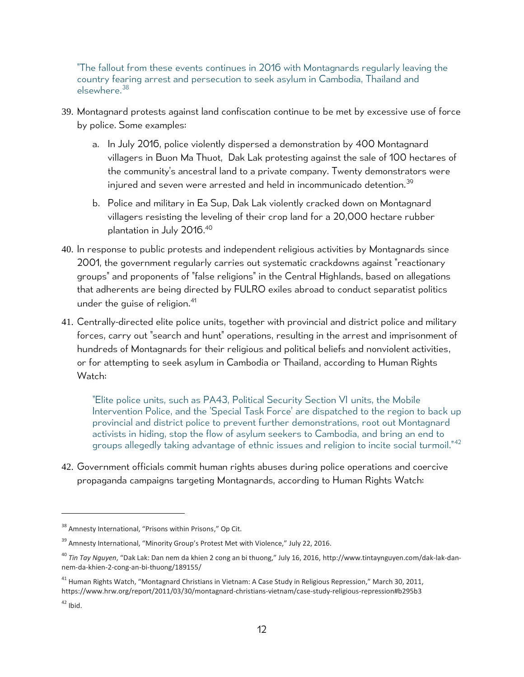"The fallout from these events continues in 2016 with Montagnards regularly leaving the country fearing arrest and persecution to seek asylum in Cambodia, Thailand and elsewhere.<sup>38</sup>

- 39. Montagnard protests against land confiscation continue to be met by excessive use of force by police. Some examples:
	- a. In July 2016, police violently dispersed a demonstration by 400 Montagnard villagers in Buon Ma Thuot, Dak Lak protesting against the sale of 100 hectares of the community's ancestral land to a private company. Twenty demonstrators were injured and seven were arrested and held in incommunicado detention.<sup>39</sup>
	- b. Police and military in Ea Sup, Dak Lak violently cracked down on Montagnard villagers resisting the leveling of their crop land for a 20,000 hectare rubber plantation in July 2016. 40
- 40. In response to public protests and independent religious activities by Montagnards since 2001, the government regularly carries out systematic crackdowns against "reactionary groups" and proponents of "false religions" in the Central Highlands, based on allegations that adherents are being directed by FULRO exiles abroad to conduct separatist politics under the quise of religion.<sup>41</sup>
- 41. Centrally-directed elite police units, together with provincial and district police and military forces, carry out "search and hunt" operations, resulting in the arrest and imprisonment of hundreds of Montagnards for their religious and political beliefs and nonviolent activities, or for attempting to seek asylum in Cambodia or Thailand, according to Human Rights Watch:

"Elite police units, such as PA43, Political Security Section VI units, the Mobile Intervention Police, and the 'Special Task Force' are dispatched to the region to back up provincial and district police to prevent further demonstrations, root out Montagnard activists in hiding, stop the flow of asylum seekers to Cambodia, and bring an end to groups allegedly taking advantage of ethnic issues and religion to incite social turmoil."<sup>42</sup>

42. Government officials commit human rights abuses during police operations and coercive propaganda campaigns targeting Montagnards, according to Human Rights Watch:

<sup>&</sup>lt;sup>38</sup> Amnesty International, "Prisons within Prisons," Op Cit.

<sup>&</sup>lt;sup>39</sup> Amnesty International, "Minority Group's Protest Met with Violence," July 22, 2016.

<sup>40</sup> *Tin Tay Nguyen*, "Dak Lak: Dan nem da khien 2 cong an bi thuong," July 16, 2016, [http://www.tintaynguyen.com/dak-lak-dan](http://www.tintaynguyen.com/dak-lak-dan-nem-da-khien-2-cong-an-bi-thuong/189155/)[nem-da-khien-2-cong-an-bi-thuong/189155/](http://www.tintaynguyen.com/dak-lak-dan-nem-da-khien-2-cong-an-bi-thuong/189155/)

<sup>&</sup>lt;sup>41</sup> Human Rights Watch, "Montagnard Christians in Vietnam: A Case Study in Religious Repression," March 30, 2011, <https://www.hrw.org/report/2011/03/30/montagnard-christians-vietnam/case-study-religious-repression#b295b3>

 $42$  Ibid.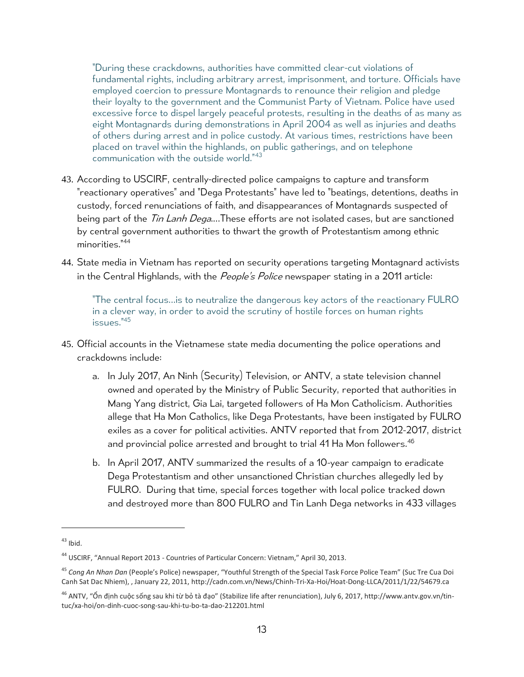"During these crackdowns, authorities have committed clear-cut violations of fundamental rights, including arbitrary arrest, imprisonment, and torture. Officials have employed coercion to pressure Montagnards to renounce their religion and pledge their loyalty to the government and the Communist Party of Vietnam. Police have used excessive force to dispel largely peaceful protests, resulting in the deaths of as many as eight Montagnards during demonstrations in April 2004 as well as injuries and deaths of others during arrest and in police custody. At various times, restrictions have been placed on travel within the highlands, on public gatherings, and on telephone communication with the outside world."<sup>43</sup>

- 43. According to USCIRF, centrally-directed police campaigns to capture and transform "reactionary operatives" and "Dega Protestants" have led to "beatings, detentions, deaths in custody, forced renunciations of faith, and disappearances of Montagnards suspected of being part of the *Tin Lanh Dega*....These efforts are not isolated cases, but are sanctioned by central government authorities to thwart the growth of Protestantism among ethnic minorities."<sup>44</sup>
- 44. State media in Vietnam has reported on security operations targeting Montagnard activists in the Central Highlands, with the *People's Police* newspaper stating in a 2011 article:

"The central focus…is to neutralize the dangerous key actors of the reactionary FULRO in a clever way, in order to avoid the scrutiny of hostile forces on human rights issues."<sup>45</sup>

- 45. Official accounts in the Vietnamese state media documenting the police operations and crackdowns include:
	- a. In July 2017, An Ninh (Security) Television, or ANTV, a state television channel owned and operated by the Ministry of Public Security, reported that authorities in Mang Yang district, Gia Lai, targeted followers of Ha Mon Catholicism. Authorities allege that Ha Mon Catholics, like Dega Protestants, have been instigated by FULRO exiles as a cover for political activities. ANTV reported that from 2012-2017, district and provincial police arrested and brought to trial 41 Ha Mon followers.<sup>46</sup>
	- b. In April 2017, ANTV summarized the results of a 10-year campaign to eradicate Dega Protestantism and other unsanctioned Christian churches allegedly led by FULRO. During that time, special forces together with local police tracked down and destroyed more than 800 FULRO and Tin Lanh Dega networks in 433 villages

l

 $43$  Ibid.

<sup>44</sup> USCIRF, "Annual Report 2013 - Countries of Particular Concern: Vietnam," April 30, 2013.

<sup>45</sup> *Cong An Nhan Dan* (People's Police) newspaper, "Youthful Strength of the Special Task Force Police Team" (Suc Tre Cua Doi Canh Sat Dac Nhiem), , January 22, 2011[, http://cadn.com.vn/News/Chinh-Tri-Xa-Hoi/Hoat-Dong-LLCA/2011/1/22/54679.ca](http://cadn.com.vn/News/Chinh-Tri-Xa-Hoi/Hoat-Dong-LLCA/2011/1/22/54679.ca)

<sup>&</sup>lt;sup>46</sup> ANTV, "Ổn định cuộc sống sau khi từ bỏ tà đạo" (Stabilize life after renunciation), July 6, 2017, http://www.antv.gov.vn/tintuc/xa-hoi/on-dinh-cuoc-song-sau-khi-tu-bo-ta-dao-212201.html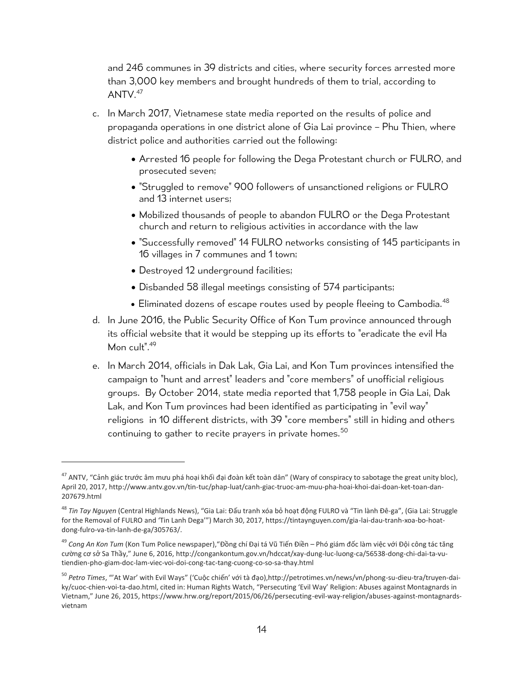and 246 communes in 39 districts and cities, where security forces arrested more than 3,000 key members and brought hundreds of them to trial, according to  $A$ NTV. $47$ 

- c. In March 2017, Vietnamese state media reported on the results of police and propaganda operations in one district alone of Gia Lai province – Phu Thien, where district police and authorities carried out the following:
	- Arrested 16 people for following the Dega Protestant church or FULRO, and prosecuted seven;
	- "Struggled to remove" 900 followers of unsanctioned religions or FULRO and 13 internet users;
	- Mobilized thousands of people to abandon FULRO or the Dega Protestant church and return to religious activities in accordance with the law
	- "Successfully removed" 14 FULRO networks consisting of 145 participants in 16 villages in 7 communes and 1 town;
	- Destroyed 12 underground facilities;

- Disbanded 58 illegal meetings consisting of 574 participants;
- $\bullet$  Eliminated dozens of escape routes used by people fleeing to Cambodia.<sup>48</sup>
- d. In June 2016, the Public Security Office of Kon Tum province announced through its official website that it would be stepping up its efforts to "eradicate the evil Ha Mon cult".<sup>49</sup>
- e. In March 2014, officials in Dak Lak, Gia Lai, and Kon Tum provinces intensified the campaign to "hunt and arrest" leaders and "core members" of unofficial religious groups. By October 2014, state media reported that 1,758 people in Gia Lai, Dak Lak, and Kon Tum provinces had been identified as participating in "evil way" religions in 10 different districts, with 39 "core members" still in hiding and others continuing to gather to recite prayers in private homes.<sup>50</sup>

<sup>&</sup>lt;sup>47</sup> ANTV, "Cảnh giác trước âm mưu phá hoại khối đại đoàn kết toàn dân" (Wary of conspiracy to sabotage the great unity bloc), April 20, 2017[, http://www.antv.gov.vn/tin-tuc/phap-luat/canh-giac-truoc-am-muu-pha-hoai-khoi-dai-doan-ket-toan-dan-](http://www.antv.gov.vn/tin-tuc/phap-luat/canh-giac-truoc-am-muu-pha-hoai-khoi-dai-doan-ket-toan-dan-207679.html)[207679.html](http://www.antv.gov.vn/tin-tuc/phap-luat/canh-giac-truoc-am-muu-pha-hoai-khoi-dai-doan-ket-toan-dan-207679.html)

<sup>48</sup> *Tin Tay Nguyen* (Central Highlands News), "Gia Lai: Đấu tranh xóa bỏ hoạt động FULRO và "Tin lành Đê-ga", (Gia Lai: Struggle for the Removal of FULRO and 'Tin Lanh Dega'") March 30, 2017, https://tintaynguyen.com/gia-lai-dau-tranh-xoa-bo-hoatdong-fulro-va-tin-lanh-de-ga/305763/.

<sup>49</sup> *Cong An Kon Tum* (Kon Tum Police newspaper),["Đồng chí Đại tá Vũ Tiến Điề](http://congankontum.gov.vn/hdccat/xay-dung-luc-luong-ca/56538-dong-chi-dai-ta-vu-tien-dien-pho-giam-doc-lam-viec-voi-doi-cong-tac-tang-cuong-co-so-sa-thay.html)n – Phó giám đốc làm việc với Đội công tác tăng cường cơ sở [Sa Th](http://congankontum.gov.vn/hdccat/xay-dung-luc-luong-ca/56538-dong-chi-dai-ta-vu-tien-dien-pho-giam-doc-lam-viec-voi-doi-cong-tac-tang-cuong-co-so-sa-thay.html)ầy," June 6, 2016, [http://congankontum.gov.vn/hdccat/xay-dung-luc-luong-ca/56538-dong-chi-dai-ta-vu](http://congankontum.gov.vn/hdccat/xay-dung-luc-luong-ca/56538-dong-chi-dai-ta-vu-tiendien-pho-giam-doc-lam-viec-voi-doi-cong-tac-tang-cuong-co-so-sa-thay.html)[tiendien-pho-giam-doc-lam-viec-voi-doi-cong-tac-tang-cuong-co-so-sa-thay.html](http://congankontum.gov.vn/hdccat/xay-dung-luc-luong-ca/56538-dong-chi-dai-ta-vu-tiendien-pho-giam-doc-lam-viec-voi-doi-cong-tac-tang-cuong-co-so-sa-thay.html)

<sup>50</sup> *Petro Times*, "'At War' with Evil Ways" ('Cuộc chiến' với tà đạo[\),http://petrotimes.vn/news/vn/phong-su-dieu-tra/truyen-dai](http://petrotimes.vn/news/vn/phong-su-dieu-tra/truyen-dai-ky/cuoc-chien-voi-ta-dao.html)[ky/cuoc-chien-voi-ta-dao.html,](http://petrotimes.vn/news/vn/phong-su-dieu-tra/truyen-dai-ky/cuoc-chien-voi-ta-dao.html) cited in: Human Rights Watch, "Persecuting 'Evil Way' Religion: Abuses against Montagnards in Vietnam," June 26, 2015, https://www.hrw.org/report/2015/06/26/persecuting-evil-way-religion/abuses-against-montagnardsvietnam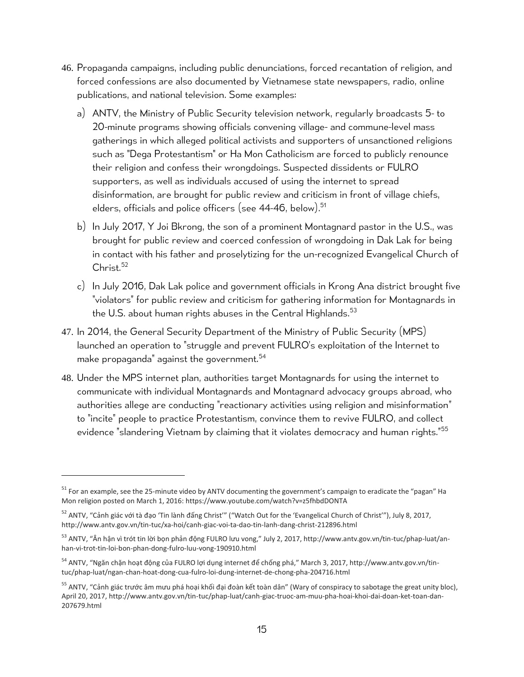- 46. Propaganda campaigns, including public denunciations, forced recantation of religion, and forced confessions are also documented by Vietnamese state newspapers, radio, online publications, and national television. Some examples:
	- a) ANTV, the Ministry of Public Security television network, regularly broadcasts 5- to 20-minute programs showing officials convening village- and commune-level mass gatherings in which alleged political activists and supporters of unsanctioned religions such as "Dega Protestantism" or Ha Mon Catholicism are forced to publicly renounce their religion and confess their wrongdoings. Suspected dissidents or FULRO supporters, as well as individuals accused of using the internet to spread disinformation, are brought for public review and criticism in front of village chiefs, elders, officials and police officers (see 44-46, below).<sup>51</sup>
	- b) In July 2017, Y Joi Bkrong, the son of a prominent Montagnard pastor in the U.S., was brought for public review and coerced confession of wrongdoing in Dak Lak for being in contact with his father and proselytizing for the un-recognized Evangelical Church of Christ.<sup>52</sup>
	- c) In July 2016, Dak Lak police and government officials in Krong Ana district brought five "violators" for public review and criticism for gathering information for Montagnards in the U.S. about human rights abuses in the Central Highlands.<sup>53</sup>
- 47. In 2014, the General Security Department of the Ministry of Public Security (MPS) launched an operation to "struggle and prevent FULRO's exploitation of the Internet to make propaganda" against the government.<sup>54</sup>
- 48. Under the MPS internet plan, authorities target Montagnards for using the internet to communicate with individual Montagnards and Montagnard advocacy groups abroad, who authorities allege are conducting "reactionary activities using religion and misinformation" to "incite" people to practice Protestantism, convince them to revive FULRO, and collect evidence "slandering Vietnam by claiming that it violates democracy and human rights."<sup>55</sup>

<sup>&</sup>lt;sup>51</sup> For an example, see the 25-minute video by ANTV documenting the government's campaign to eradicate the "pagan" Ha Mon religion posted on March 1, 2016:<https://www.youtube.com/watch?v=z5fhbdDONTA>

<sup>&</sup>lt;sup>52</sup> ANTV, "Cảnh giác với tà đạo 'Tin lành đấng Christ'" ("Watch Out for the 'Evangelical Church of Christ'"), July 8, 2017, http://www.antv.gov.vn/tin-tuc/xa-hoi/canh-giac-voi-ta-dao-tin-lanh-dang-christ-212896.html

<sup>&</sup>lt;sup>53</sup> ANTV, "Ân hận vì trót tin lời bọn phản động FULRO lưu vong," July 2, 2017, [http://www.antv.gov.vn/tin-tuc/phap-luat/an](http://www.antv.gov.vn/tin-tuc/phap-luat/an-han-vi-trot-tin-loi-bon-phan-dong-fulro-luu-vong-190910.html)[han-vi-trot-tin-loi-bon-phan-dong-fulro-luu-vong-190910.html](http://www.antv.gov.vn/tin-tuc/phap-luat/an-han-vi-trot-tin-loi-bon-phan-dong-fulro-luu-vong-190910.html)

<sup>54</sup> ANTV, "Ngăn chặn hoạt động của FULRO lợi dụng internet để chống phá," March 3, 2017, http://www.antv.gov.vn/tintuc/phap-luat/ngan-chan-hoat-dong-cua-fulro-loi-dung-internet-de-chong-pha-204716.html

<sup>&</sup>lt;sup>55</sup> ANTV, "Cảnh giác trước âm mưu phá hoại khối đại đoàn kết toàn dân" (Wary of conspiracy to sabotage the great unity bloc), April 20, 2017[, http://www.antv.gov.vn/tin-tuc/phap-luat/canh-giac-truoc-am-muu-pha-hoai-khoi-dai-doan-ket-toan-dan-](http://www.antv.gov.vn/tin-tuc/phap-luat/canh-giac-truoc-am-muu-pha-hoai-khoi-dai-doan-ket-toan-dan-207679.html)[207679.html](http://www.antv.gov.vn/tin-tuc/phap-luat/canh-giac-truoc-am-muu-pha-hoai-khoi-dai-doan-ket-toan-dan-207679.html)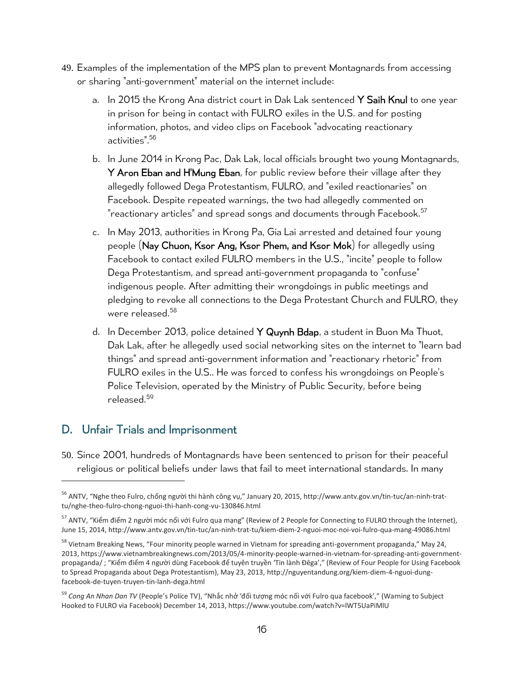- 49. Examples of the implementation of the MPS plan to prevent Montagnards from accessing or sharing "anti-government" material on the internet include:
	- a. In 2015 the Krong Ana district court in Dak Lak sentenced Y Saih Knul to one year in prison for being in contact with FULRO exiles in the U.S. and for posting information, photos, and video clips on Facebook "advocating reactionary activities".<sup>56</sup>
	- b. In June 2014 in Krong Pac, Dak Lak, local officials brought two young Montagnards, Y Aron Eban and H'Mung Eban, for public review before their village after they allegedly followed Dega Protestantism, FULRO, and "exiled reactionaries" on Facebook. Despite repeated warnings, the two had allegedly commented on "reactionary articles" and spread songs and documents through Facebook.<sup>57</sup>
	- c. In May 2013, authorities in Krong Pa, Gia Lai arrested and detained four young people (Nay Chuon, Ksor Ang, Ksor Phem, and Ksor Mok) for allegedly using Facebook to contact exiled FULRO members in the U.S., "incite" people to follow Dega Protestantism, and spread anti-government propaganda to "confuse" indigenous people. After admitting their wrongdoings in public meetings and pledging to revoke all connections to the Dega Protestant Church and FULRO, they were released. 58
	- d. In December 2013, police detained Y Quynh Bdap, a student in Buon Ma Thuot, Dak Lak, after he allegedly used social networking sites on the internet to "learn bad things" and spread anti-government information and "reactionary rhetoric" from FULRO exiles in the U.S.. He was forced to confess his wrongdoings on People's Police Television, operated by the Ministry of Public Security, before being released. 59

## <span id="page-15-0"></span>D. Unfair Trials and Imprisonment

50. Since 2001, hundreds of Montagnards have been sentenced to prison for their peaceful religious or political beliefs under laws that fail to meet international standards. In many

<sup>&</sup>lt;sup>56</sup> ANTV, "Nghe theo Fulro, chống người thi hành công vụ," January 20, 2015, [http://www.antv.gov.vn/tin-tuc/an-ninh-trat](http://www.antv.gov.vn/tin-tuc/an-ninh-trat-tu/nghe-theo-fulro-chong-nguoi-thi-hanh-cong-vu-130846.html)[tu/nghe-theo-fulro-chong-nguoi-thi-hanh-cong-vu-130846.html](http://www.antv.gov.vn/tin-tuc/an-ninh-trat-tu/nghe-theo-fulro-chong-nguoi-thi-hanh-cong-vu-130846.html)

<sup>&</sup>lt;sup>57</sup> ANTV, "Kiểm điểm 2 người móc nối với Fulro qua mạng" (Review of 2 People for Connecting to FULRO through the Internet), June 15, 2014, http://www.antv.gov.vn/tin-tuc/an-ninh-trat-tu/kiem-diem-2-nguoi-moc-noi-voi-fulro-qua-mang-49086.html

<sup>&</sup>lt;sup>58</sup> Vietnam Breaking News, "Four minority people warned in Vietnam for spreading anti-government propaganda," May 24, 2013[, https://www.vietnambreakingnews.com/2013/05/4-minority-people-warned-in-vietnam-for-spreading-anti-government](https://www.vietnambreakingnews.com/2013/05/4-minority-people-warned-in-vietnam-for-spreading-anti-government-propaganda/)[propaganda/](https://www.vietnambreakingnews.com/2013/05/4-minority-people-warned-in-vietnam-for-spreading-anti-government-propaganda/) ; "Kiểm điểm 4 người dùng Facebook để tuyên truyền 'Tin lành Đêga'," (Review of Four People for Using Facebook to Spread Propaganda about Dega Protestantism), May 23, 2013, [http://nguyentandung.org/kiem-diem-4-nguoi-dung](http://nguyentandung.org/kiem-diem-4-nguoi-dung-facebook-de-tuyen-truyen-tin-lanh-dega.html)[facebook-de-tuyen-truyen-tin-lanh-dega.html](http://nguyentandung.org/kiem-diem-4-nguoi-dung-facebook-de-tuyen-truyen-tin-lanh-dega.html)

<sup>59</sup> *Cong An Nhan Dan TV* (People's Police TV), "Nhắc nhở 'đối tượng móc nối với Fulro qua facebook'," (Warning to Subject Hooked to FULRO via Facebook) December 14, 2013, https://www.youtube.com/watch?v=lWT5UaPiMlU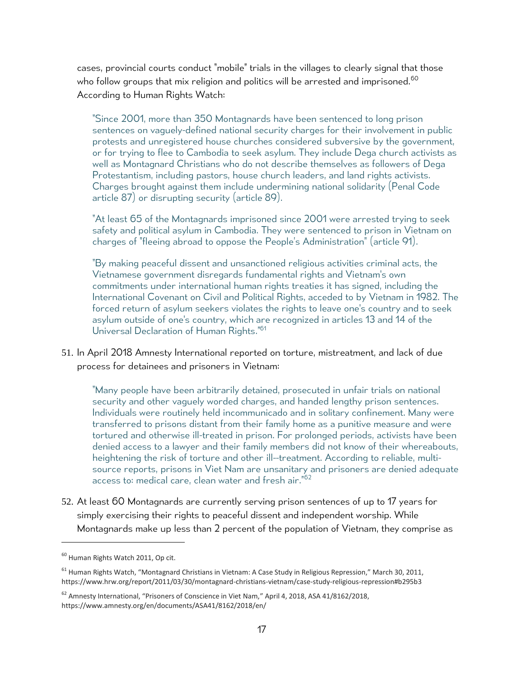cases, provincial courts conduct "mobile" trials in the villages to clearly signal that those who follow groups that mix religion and politics will be arrested and imprisoned.<sup>60</sup> According to Human Rights Watch:

"Since 2001, more than 350 Montagnards have been sentenced to long prison sentences on vaguely-defined national security charges for their involvement in public protests and unregistered house churches considered subversive by the government, or for trying to flee to Cambodia to seek asylum. They include Dega church activists as well as Montagnard Christians who do not describe themselves as followers of Dega Protestantism, including pastors, house church leaders, and land rights activists. Charges brought against them include undermining national solidarity (Penal Code article 87) or disrupting security (article 89).

"At least 65 of the Montagnards imprisoned since 2001 were arrested trying to seek safety and political asylum in Cambodia. They were sentenced to prison in Vietnam on charges of "fleeing abroad to oppose the People's Administration" (article 91).

"By making peaceful dissent and unsanctioned religious activities criminal acts, the Vietnamese government disregards fundamental rights and Vietnam's own commitments under international human rights treaties it has signed, including the International Covenant on Civil and Political Rights, acceded to by Vietnam in 1982. The forced return of asylum seekers violates the rights to leave one's country and to seek asylum outside of one's country, which are recognized in articles 13 and 14 of the Universal Declaration of Human Rights."<sup>61</sup>

51. In April 2018 Amnesty International reported on torture, mistreatment, and lack of due process for detainees and prisoners in Vietnam:

"Many people have been arbitrarily detained, prosecuted in unfair trials on national security and other vaguely worded charges, and handed lengthy prison sentences. Individuals were routinely held incommunicado and in solitary confinement. Many were transferred to prisons distant from their family home as a punitive measure and were tortured and otherwise ill-treated in prison. For prolonged periods, activists have been denied access to a lawyer and their family members did not know of their whereabouts, heightening the risk of torture and other ill--treatment. According to reliable, multisource reports, prisons in Viet Nam are unsanitary and prisoners are denied adequate access to: medical care, clean water and fresh air."<sup>62</sup>

52. At least 60 Montagnards are currently serving prison sentences of up to 17 years for simply exercising their rights to peaceful dissent and independent worship. While Montagnards make up less than 2 percent of the population of Vietnam, they comprise as

 $\overline{a}$ 

<sup>&</sup>lt;sup>60</sup> Human Rights Watch 2011, Op cit.

 $61$  Human Rights Watch, "Montagnard Christians in Vietnam: A Case Study in Religious Repression," March 30, 2011, <https://www.hrw.org/report/2011/03/30/montagnard-christians-vietnam/case-study-religious-repression#b295b3>

<sup>&</sup>lt;sup>62</sup> Amnesty International, "Prisoners of Conscience in Viet Nam," April 4, 2018, ASA 41/8162/2018, https://www.amnesty.org/en/documents/ASA41/8162/2018/en/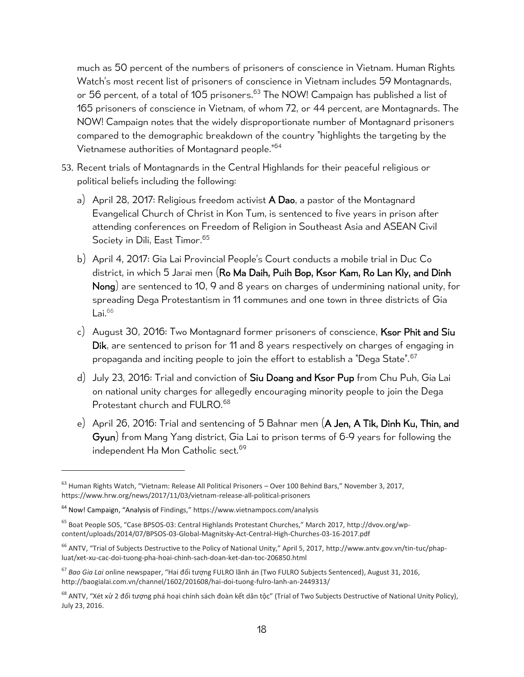much as 50 percent of the numbers of prisoners of conscience in Vietnam. Human Rights Watch's most recent list of prisoners of conscience in Vietnam includes 59 Montagnards, or 56 percent, of a total of 105 prisoners.<sup>63</sup> The NOW! Campaign has published a list of 165 prisoners of conscience in Vietnam, of whom 72, or 44 percent, are Montagnards. The NOW! Campaign notes that the widely disproportionate number of Montagnard prisoners compared to the demographic breakdown of the country "highlights the targeting by the Vietnamese authorities of Montagnard people." 64

- 53. Recent trials of Montagnards in the Central Highlands for their peaceful religious or political beliefs including the following:
	- a) April 28, 2017: Religious freedom activist  $\overline{A}$  Dao, a pastor of the Montagnard Evangelical Church of Christ in Kon Tum, is sentenced to five years in prison after attending conferences on Freedom of Religion in Southeast Asia and ASEAN Civil Society in Dili, East Timor. 65
	- b) April 4, 2017: Gia Lai Provincial People's Court conducts a mobile trial in Duc Co district, in which 5 Jarai men (Ro Ma Daih, Puih Bop, Ksor Kam, Ro Lan Kly, and Dinh Nong) are sentenced to 10, 9 and 8 years on charges of undermining national unity, for spreading Dega Protestantism in 11 communes and one town in three districts of Gia Lai.<sup>66</sup>
	- c) August 30, 2016: Two Montagnard former prisoners of conscience, Ksor Phit and Siu Dik, are sentenced to prison for 11 and 8 years respectively on charges of engaging in propaganda and inciting people to join the effort to establish a "Dega State".<sup>67</sup>
	- d) July 23, 2016: Trial and conviction of Siu Doang and Ksor Pup from Chu Puh, Gia Lai on national unity charges for allegedly encouraging minority people to join the Dega Protestant church and FULRO.<sup>68</sup>
	- e) April 26, 2016: Trial and sentencing of 5 Bahnar men (A Jen, A Tik, Dinh Ku, Thin, and Gyun) from Mang Yang district, Gia Lai to prison terms of 6-9 years for following the independent Ha Mon Catholic sect.<sup>69</sup>

 $63$  Human Rights Watch, "Vietnam: Release All Political Prisoners – Over 100 Behind Bars," November 3, 2017, https://www.hrw.org/news/2017/11/03/vietnam-release-all-political-prisoners

<sup>64</sup> Now! Campaign, "Analysis of Findings," <https://www.vietnampocs.com/analysis>

<sup>65</sup> Boat People SOS, "Case BPSOS-03: Central Highlands Protestant Churches," March 2017, [http://dvov.org/wp](http://dvov.org/wp-content/uploads/2014/07/BPSOS-03-Global-Magnitsky-Act-Central-High-Churches-03-16-2017.pdf)[content/uploads/2014/07/BPSOS-03-Global-Magnitsky-Act-Central-High-Churches-03-16-2017.pdf](http://dvov.org/wp-content/uploads/2014/07/BPSOS-03-Global-Magnitsky-Act-Central-High-Churches-03-16-2017.pdf)

<sup>&</sup>lt;sup>66</sup> ANTV, "Trial of Subjects Destructive to the Policy of National Unity," April 5, 2017, [http://www.antv.gov.vn/tin-tuc/phap](http://www.antv.gov.vn/tin-tuc/phap-luat/xet-xu-cac-doi-tuong-pha-hoai-chinh-sach-doan-ket-dan-toc-206850.html)[luat/xet-xu-cac-doi-tuong-pha-hoai-chinh-sach-doan-ket-dan-toc-206850.html](http://www.antv.gov.vn/tin-tuc/phap-luat/xet-xu-cac-doi-tuong-pha-hoai-chinh-sach-doan-ket-dan-toc-206850.html)

<sup>67</sup> *Bao Gia Lai* online newspaper, "Hai đối tượng FULRO lãnh án (Two FULRO Subjects Sentenced), August 31, 2016, <http://baogialai.com.vn/channel/1602/201608/hai-doi-tuong-fulro-lanh-an-2449313/>

<sup>&</sup>lt;sup>68</sup> ANTV, "Xét xử 2 đối tượng phá hoại chính sách đoàn kết dân tộc" (Trial of Two Subjects Destructive of National Unity Policy), July 23, 2016.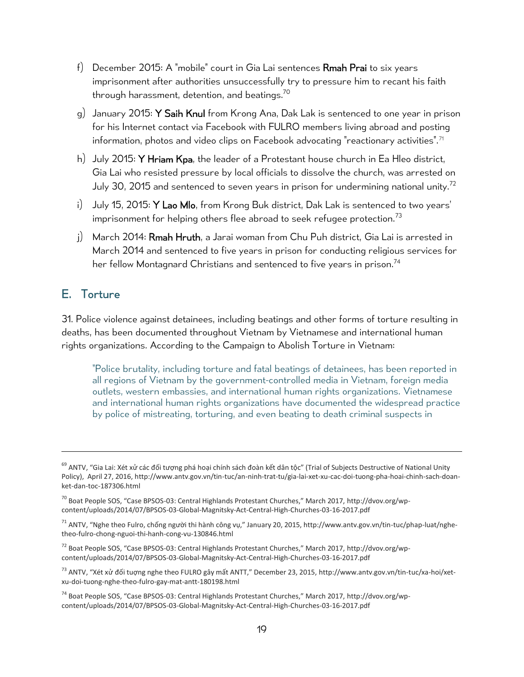- f) December 2015: A "mobile" court in Gia Lai sentences **Rmah Prai** to six years imprisonment after authorities unsuccessfully try to pressure him to recant his faith through harassment, detention, and beatings.<sup>70</sup>
- g) January 2015: Y Saih Knul from Krong Ana, Dak Lak is sentenced to one year in prison for his Internet contact via Facebook with FULRO members living abroad and posting information, photos and video clips on Facebook advocating "reactionary activities".<sup>71</sup>
- h) July 2015: Y Hriam Kpa, the leader of a Protestant house church in Ea Hleo district, Gia Lai who resisted pressure by local officials to dissolve the church, was arrested on July 30, 2015 and sentenced to seven years in prison for undermining national unity.<sup>72</sup>
- i) July 15, 2015: Y Lao Mlo, from Krong Buk district, Dak Lak is sentenced to two years' imprisonment for helping others flee abroad to seek refugee protection.<sup>73</sup>
- j) March 2014: Rmah Hruth, a Jarai woman from Chu Puh district, Gia Lai is arrested in March 2014 and sentenced to five years in prison for conducting religious services for her fellow Montagnard Christians and sentenced to five years in prison.<sup>74</sup>

### <span id="page-18-0"></span>E. Torture

31. Police violence against detainees, including beatings and other forms of torture resulting in deaths, has been documented throughout Vietnam by Vietnamese and international human rights organizations. According to the Campaign to Abolish Torture in Vietnam:

"Police brutality, including torture and fatal beatings of detainees, has been reported in all regions of Vietnam by the government-controlled media in Vietnam, foreign media outlets, western embassies, and international human rights organizations. Vietnamese and international human rights organizations have documented the widespread practice by police of mistreating, torturing, and even beating to death criminal suspects in

<sup>74</sup> Boat People SOS, "Case BPSOS-03: Central Highlands Protestant Churches," March 2017, [http://dvov.org/wp](http://dvov.org/wp-content/uploads/2014/07/BPSOS-03-Global-Magnitsky-Act-Central-High-Churches-03-16-2017.pdf)[content/uploads/2014/07/BPSOS-03-Global-Magnitsky-Act-Central-High-Churches-03-16-2017.pdf](http://dvov.org/wp-content/uploads/2014/07/BPSOS-03-Global-Magnitsky-Act-Central-High-Churches-03-16-2017.pdf)

<sup>&</sup>lt;sup>69</sup> ANTV, "Gia Lai: Xét xử các đối tượng phá hoại chính sách đoàn kết dân tộc" (Trial of Subjects Destructive of National Unity Policy), April 27, 2016[, http://www.antv.gov.vn/tin-tuc/an-ninh-trat-tu/gia-lai-xet-xu-cac-doi-tuong-pha-hoai-chinh-sach-doan](http://www.antv.gov.vn/tin-tuc/an-ninh-trat-tu/gia-lai-xet-xu-cac-doi-tuong-pha-hoai-chinh-sach-doan-ket-dan-toc-187306.html)[ket-dan-toc-187306.html](http://www.antv.gov.vn/tin-tuc/an-ninh-trat-tu/gia-lai-xet-xu-cac-doi-tuong-pha-hoai-chinh-sach-doan-ket-dan-toc-187306.html)

<sup>&</sup>lt;sup>70</sup> Boat People SOS, "Case BPSOS-03: Central Highlands Protestant Churches," March 2017, [http://dvov.org/wp](http://dvov.org/wp-content/uploads/2014/07/BPSOS-03-Global-Magnitsky-Act-Central-High-Churches-03-16-2017.pdf)[content/uploads/2014/07/BPSOS-03-Global-Magnitsky-Act-Central-High-Churches-03-16-2017.pdf](http://dvov.org/wp-content/uploads/2014/07/BPSOS-03-Global-Magnitsky-Act-Central-High-Churches-03-16-2017.pdf)

 $^{71}$  ANTV, "Nghe theo Fulro, chống người thi hành công vụ," January 20, 2015, http://www.antv.gov.vn/tin-tuc/phap-luat/nghetheo-fulro-chong-nguoi-thi-hanh-cong-vu-130846.html

<sup>72</sup> Boat People SOS, "Case BPSOS-03: Central Highlands Protestant Churches," March 2017, [http://dvov.org/wp](http://dvov.org/wp-content/uploads/2014/07/BPSOS-03-Global-Magnitsky-Act-Central-High-Churches-03-16-2017.pdf)[content/uploads/2014/07/BPSOS-03-Global-Magnitsky-Act-Central-High-Churches-03-16-2017.pdf](http://dvov.org/wp-content/uploads/2014/07/BPSOS-03-Global-Magnitsky-Act-Central-High-Churches-03-16-2017.pdf)

 $^{73}$  ANTV, "Xét xử đối tuợng nghe theo FULRO gây mất ANTT," December 23, 2015, [http://www.antv.gov.vn/tin-tuc/xa-hoi/xet](http://www.antv.gov.vn/tin-tuc/xa-hoi/xet-xu-doi-tuong-nghe-theo-fulro-gay-mat-antt-180198.html)[xu-doi-tuong-nghe-theo-fulro-gay-mat-antt-180198.html](http://www.antv.gov.vn/tin-tuc/xa-hoi/xet-xu-doi-tuong-nghe-theo-fulro-gay-mat-antt-180198.html)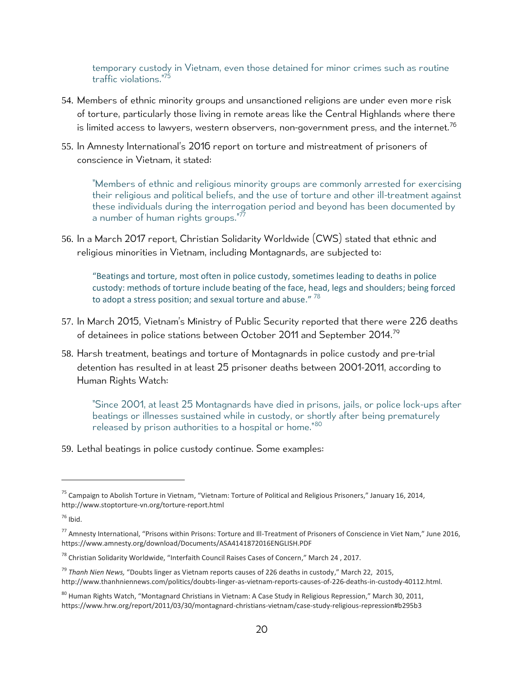temporary custody in Vietnam, even those detained for minor crimes such as routine traffic violations."<sup>75</sup>

- 54. Members of ethnic minority groups and unsanctioned religions are under even more risk of torture, particularly those living in remote areas like the Central Highlands where there is limited access to lawyers, western observers, non-government press, and the internet.<sup>76</sup>
- 55. In Amnesty International's 2016 report on torture and mistreatment of prisoners of conscience in Vietnam, it stated:

"Members of ethnic and religious minority groups are commonly arrested for exercising their religious and political beliefs, and the use of torture and other ill-treatment against these individuals during the interrogation period and beyond has been documented by a number of human rights groups."<sup>77</sup>

56. In a March 2017 report, Christian Solidarity Worldwide (CWS) stated that ethnic and religious minorities in Vietnam, including Montagnards, are subjected to:

"Beatings and torture, most often in police custody, sometimes leading to deaths in police custody: methods of torture include beating of the face, head, legs and shoulders; being forced to adopt a stress position; and sexual torture and abuse."  $^{78}$ 

- 57. In March 2015, Vietnam's Ministry of Public Security reported that there were 226 deaths of detainees in police stations between October 2011 and September 2014.<sup>79</sup>
- 58. Harsh treatment, beatings and torture of Montagnards in police custody and pre-trial detention has resulted in at least 25 prisoner deaths between 2001-2011, according to Human Rights Watch:

"Since 2001, at least 25 Montagnards have died in prisons, jails, or police lock-ups after beatings or illnesses sustained while in custody, or shortly after being prematurely released by prison authorities to a hospital or home."<sup>80</sup>

59. Lethal beatings in police custody continue. Some examples:

<sup>75</sup> Campaign to Abolish Torture in Vietnam, "Vietnam: Torture of Political and Religious Prisoners," January 16, 2014, http://www.stoptorture-vn.org/torture-report.html

 $76$  Ibid.

<sup>77</sup> Amnesty International, "Prisons within Prisons: Torture and Ill-Treatment of Prisoners of Conscience in Viet Nam," June 2016, https://www.amnesty.org/download/Documents/ASA4141872016ENGLISH.PDF

<sup>&</sup>lt;sup>78</sup> Christian Solidarity Worldwide, "Interfaith Council Raises Cases of Concern," March 24, 2017.

<sup>79</sup> *Thanh Nien News,* "Doubts linger as Vietnam reports causes of 226 deaths in custody," March 22, 2015, http://www.thanhniennews.com/politics/doubts-linger-as-vietnam-reports-causes-of-226-deaths-in-custody-40112.html.

<sup>&</sup>lt;sup>80</sup> Human Rights Watch, "Montagnard Christians in Vietnam: A Case Study in Religious Repression," March 30, 2011, <https://www.hrw.org/report/2011/03/30/montagnard-christians-vietnam/case-study-religious-repression#b295b3>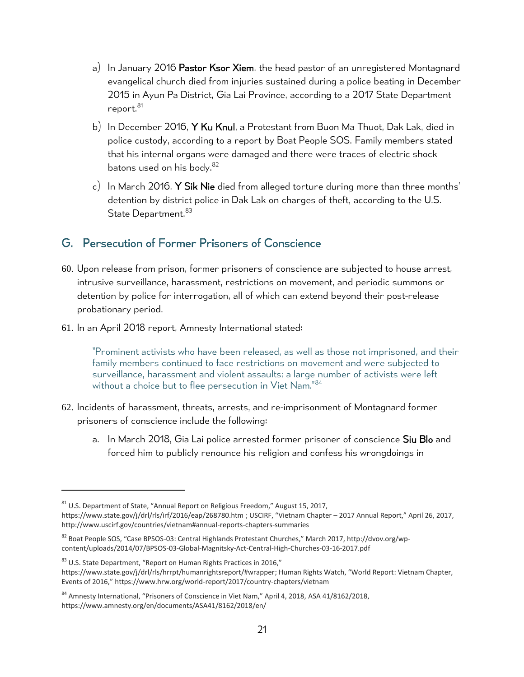- a) In January 2016 Pastor Ksor Xiem, the head pastor of an unregistered Montagnard evangelical church died from injuries sustained during a police beating in December 2015 in Ayun Pa District, Gia Lai Province, according to a 2017 State Department report.<sup>81</sup>
- b) In December 2016, Y Ku Knul, a Protestant from Buon Ma Thuot, Dak Lak, died in police custody, according to a report by Boat People SOS. Family members stated that his internal organs were damaged and there were traces of electric shock batons used on his body.<sup>82</sup>
- c) In March 2016, Y Sik Nie died from alleged torture during more than three months' detention by district police in Dak Lak on charges of theft, according to the U.S. State Department.<sup>83</sup>

### <span id="page-20-0"></span>G. Persecution of Former Prisoners of Conscience

- 60. Upon release from prison, former prisoners of conscience are subjected to house arrest, intrusive surveillance, harassment, restrictions on movement, and periodic summons or detention by police for interrogation, all of which can extend beyond their post-release probationary period.
- 61. In an April 2018 report, Amnesty International stated:

"Prominent activists who have been released, as well as those not imprisoned, and their family members continued to face restrictions on movement and were subjected to surveillance, harassment and violent assaults; a large number of activists were left without a choice but to flee persecution in Viet Nam."<sup>84</sup>

- 62. Incidents of harassment, threats, arrests, and re-imprisonment of Montagnard former prisoners of conscience include the following:
	- a. In March 2018, Gia Lai police arrested former prisoner of conscience Siu Blo and forced him to publicly renounce his religion and confess his wrongdoings in

 $83$  U.S. State Department, "Report on Human Rights Practices in 2016,"

 $81$  U.S. Department of State, "Annual Report on Religious Freedom," August 15, 2017, <https://www.state.gov/j/drl/rls/irf/2016/eap/268780.htm> ; USCIRF, "Vietnam Chapter – 2017 Annual Report," April 26, 2017, http://www.uscirf.gov/countries/vietnam#annual-reports-chapters-summaries

<sup>&</sup>lt;sup>82</sup> Boat People SOS, "Case BPSOS-03: Central Highlands Protestant Churches," March 2017, [http://dvov.org/wp](http://dvov.org/wp-content/uploads/2014/07/BPSOS-03-Global-Magnitsky-Act-Central-High-Churches-03-16-2017.pdf)[content/uploads/2014/07/BPSOS-03-Global-Magnitsky-Act-Central-High-Churches-03-16-2017.pdf](http://dvov.org/wp-content/uploads/2014/07/BPSOS-03-Global-Magnitsky-Act-Central-High-Churches-03-16-2017.pdf)

[https://www.state.gov/j/drl/rls/hrrpt/humanrightsreport/#wrapper;](https://www.state.gov/j/drl/rls/hrrpt/humanrightsreport/#wrapper) Human Rights Watch, "World Report: Vietnam Chapter, Events of 2016," <https://www.hrw.org/world-report/2017/country-chapters/vietnam>

<sup>&</sup>lt;sup>84</sup> Amnesty International, "Prisoners of Conscience in Viet Nam," April 4, 2018, ASA 41/8162/2018, https://www.amnesty.org/en/documents/ASA41/8162/2018/en/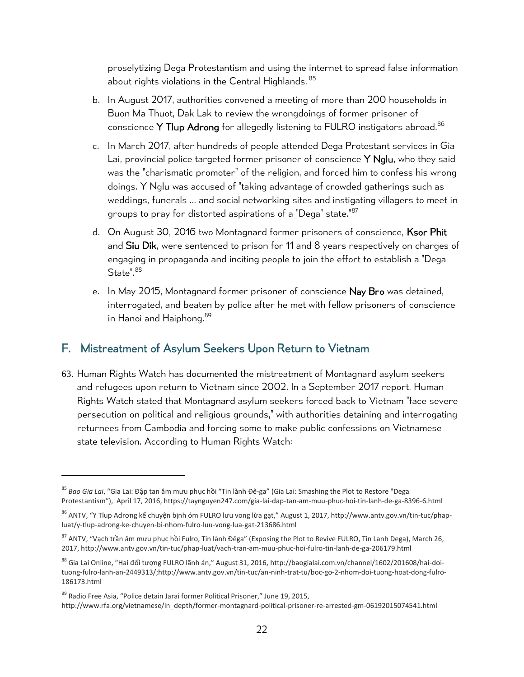proselytizing Dega Protestantism and using the internet to spread false information about rights violations in the Central Highlands. 85

- b. In August 2017, authorities convened a meeting of more than 200 households in Buon Ma Thuot, Dak Lak to review the wrongdoings of former prisoner of conscience Y Tlup Adrong for allegedly listening to FULRO instigators abroad. $86$
- c. In March 2017, after hundreds of people attended Dega Protestant services in Gia Lai, provincial police targeted former prisoner of conscience Y Nglu, who they said was the "charismatic promoter" of the religion, and forced him to confess his wrong doings. Y Nglu was accused of "taking advantage of crowded gatherings such as weddings, funerals ... and social networking sites and instigating villagers to meet in groups to pray for distorted aspirations of a "Dega" state."87
- d. On August 30, 2016 two Montagnard former prisoners of conscience, Ksor Phit and Siu Dik, were sentenced to prison for 11 and 8 years respectively on charges of engaging in propaganda and inciting people to join the effort to establish a "Dega State".<sup>88</sup>
- e. In May 2015, Montagnard former prisoner of conscience Nay Bro was detained, interrogated, and beaten by police after he met with fellow prisoners of conscience in Hanoi and Haiphong.<sup>89</sup>

### <span id="page-21-0"></span>F. Mistreatment of Asylum Seekers Upon Return to Vietnam

63. Human Rights Watch has documented the mistreatment of Montagnard asylum seekers and refugees upon return to Vietnam since 2002. In a September 2017 report, Human Rights Watch stated that Montagnard asylum seekers forced back to Vietnam "face severe persecution on political and religious grounds," with authorities detaining and interrogating returnees from Cambodia and forcing some to make public confessions on Vietnamese state television. According to Human Rights Watch:

<sup>85</sup> *Bao Gia Lai*, "Gia Lai: Đập tan âm mưu phục hồi "Tin lành Đê-ga" (Gia Lai: Smashing the Plot to Restore "Dega Protestantism"), April 17, 2016, <https://taynguyen247.com/gia-lai-dap-tan-am-muu-phuc-hoi-tin-lanh-de-ga-8396-6.html>

<sup>86</sup> ANTV, "Y Tlup Adrơng kể chuyện bịnh óm FULRO lưu vong lừa gạt," August 1, 2017, http://www.antv.gov.vn/tin-tuc/phapluat/y-tlup-adrong-ke-chuyen-bi-nhom-fulro-luu-vong-lua-gat-213686.html

<sup>87</sup> ANTV, "Vạch trần âm mưu phục hồi Fulro, Tin lành Đêga" (Exposing the Plot to Revive FULRO, Tin Lanh Dega), March 26, 2017[, http://www.antv.gov.vn/tin-tuc/phap-luat/vach-tran-am-muu-phuc-hoi-fulro-tin-lanh-de-ga-206179.html](http://www.antv.gov.vn/tin-tuc/phap-luat/vach-tran-am-muu-phuc-hoi-fulro-tin-lanh-de-ga-206179.html)

<sup>&</sup>lt;sup>88</sup> Gia Lai Online, "Hai đối tượng FULRO lãnh án," August 31, 2016, [http://baogialai.com.vn/channel/1602/201608/hai-doi](http://baogialai.com.vn/channel/1602/201608/hai-doi-tuong-fulro-lanh-an-2449313/)[tuong-fulro-lanh-an-2449313/](http://baogialai.com.vn/channel/1602/201608/hai-doi-tuong-fulro-lanh-an-2449313/)[;http://www.antv.gov.vn/tin-tuc/an-ninh-trat-tu/boc-go-2-nhom-doi-tuong-hoat-dong-fulro-](http://www.antv.gov.vn/tin-tuc/an-ninh-trat-tu/boc-go-2-nhom-doi-tuong-hoat-dong-fulro-186173.html)[186173.html](http://www.antv.gov.vn/tin-tuc/an-ninh-trat-tu/boc-go-2-nhom-doi-tuong-hoat-dong-fulro-186173.html)

<sup>89</sup> Radio Free Asia, "Police detain Jarai former Political Prisoner," June 19, 2015, [http://www.rfa.org/vietnamese/in\\_depth/former-montagnard-political-prisoner-re-arrested-gm-06192015074541.html](http://www.rfa.org/vietnamese/in_depth/former-montagnard-political-prisoner-re-arrested-gm-06192015074541.html)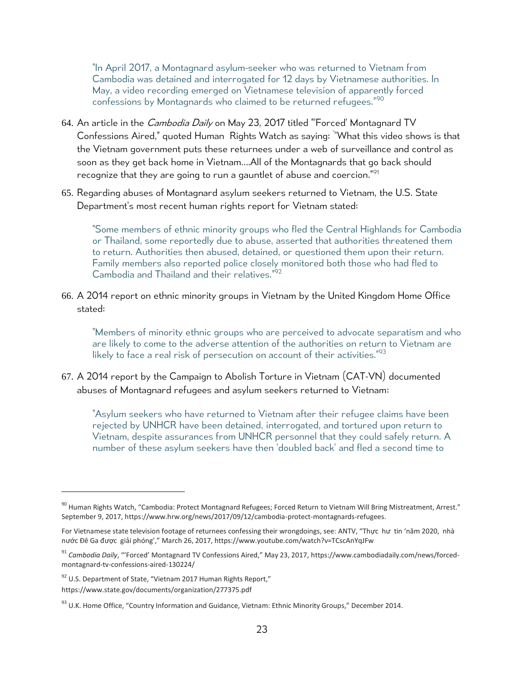"In April 2017, a Montagnard asylum-seeker who was returned to Vietnam from Cambodia was [detained and interrogated](http://www.phnompenhpost.com/national/montagnards-flee-thailand-fearing-return-persecution-vietnam) for 12 days by Vietnamese authorities. In May, [a video recording](https://www.cambodiadaily.com/news/forced-montagnard-tv-confessions-aired-130224/) emerged on Vietnamese television of apparently forced confessions by Montagnards who claimed to be returned refugees."<sup>90</sup>

- 64. An article in the *Cambodia Daily* on May 23, 2017 titled "Forced' Montagnard TV Confessions Aired," quoted Human Rights Watch as saying: " "What this video shows is that the Vietnam government puts these returnees under a web of surveillance and control as soon as they get back home in Vietnam….All of the Montagnards that go back should recognize that they are going to run a gauntlet of abuse and coercion.<sup>"91</sup>
- 65. Regarding abuses of Montagnard asylum seekers returned to Vietnam, the U.S. State Department's most recent human rights report for Vietnam stated:

"Some members of ethnic minority groups who fled the Central Highlands for Cambodia or Thailand, some reportedly due to abuse, asserted that authorities threatened them to return. Authorities then abused, detained, or questioned them upon their return. Family members also reported police closely monitored both those who had fled to Cambodia and Thailand and their relatives." 92

66. A 2014 report on ethnic minority groups in Vietnam by the United Kingdom Home Office stated:

"Members of minority ethnic groups who are perceived to advocate separatism and who are likely to come to the adverse attention of the authorities on return to Vietnam are likely to face a real risk of persecution on account of their activities."93

67. A 2014 report by the Campaign to Abolish Torture in Vietnam (CAT-VN) documented abuses of Montagnard refugees and asylum seekers returned to Vietnam:

"Asylum seekers who have returned to Vietnam after their refugee claims have been rejected by UNHCR have been detained, interrogated, and tortured upon return to Vietnam, despite assurances from UNHCR personnel that they could safely return. A number of these asylum seekers have then 'doubled back' and fled a second time to

 $\overline{a}$ 

<sup>90</sup> Human Rights Watch, "Cambodia: Protect Montagnard Refugees; Forced Return to Vietnam Will Bring Mistreatment, Arrest." September 9, 2017, [https://www.hrw.org/news/2017/09/12/cambodia-protect-montagnards-refugees.](https://www.hrw.org/news/2017/09/12/cambodia-protect-montagnards-refugees)

For Vietnamese state television footage of returnees confessing their wrongdoings, see: ANTV, "Thực hư tin 'nă[m 2020, nhà](https://www.youtube.com/watch?v=TCscAnYqJFw)  n[ước Đê Ga đượ](https://www.youtube.com/watch?v=TCscAnYqJFw)c giải phóng'," March 26, 2017, https://www.youtube.com/watch?v=TCscAnYqJFw

<sup>91</sup> *Cambodia Daily*, "'Forced' Montagnard TV Confessions Aired," May 23, 2017, [https://www.cambodiadaily.com/news/forced](https://www.cambodiadaily.com/news/forced-montagnard-tv-confessions-aired-130224/)[montagnard-tv-confessions-aired-130224/](https://www.cambodiadaily.com/news/forced-montagnard-tv-confessions-aired-130224/)

<sup>92</sup> U.S. Department of State, "Vietnam 2017 Human Rights Report," https://www.state.gov/documents/organization/277375.pdf

 $93$  U.K. Home Office, "Country Information and Guidance, Vietnam: Ethnic Minority Groups," December 2014.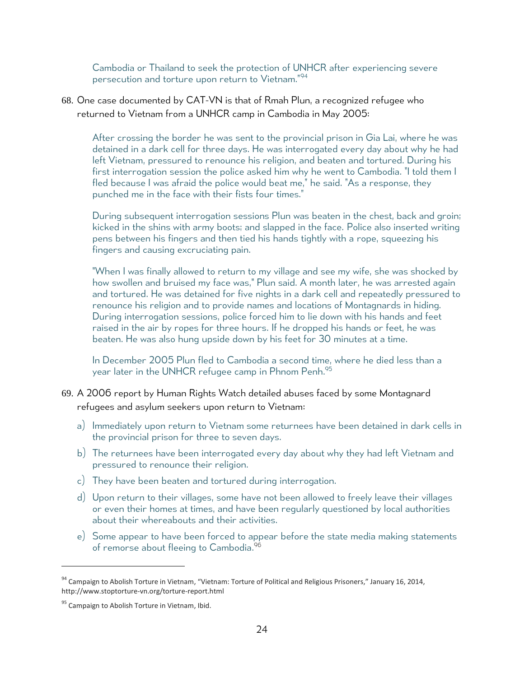Cambodia or Thailand to seek the protection of UNHCR after experiencing severe persecution and torture upon return to Vietnam."<sup>94</sup>

68. One case documented by CAT-VN is that of Rmah Plun, a recognized refugee who returned to Vietnam from a UNHCR camp in Cambodia in May 2005:

After crossing the border he was sent to the provincial prison in Gia Lai, where he was detained in a dark cell for three days. He was interrogated every day about why he had left Vietnam, pressured to renounce his religion, and beaten and tortured. During his first interrogation session the police asked him why he went to Cambodia. "I told them I fled because I was afraid the police would beat me," he said. "As a response, they punched me in the face with their fists four times."

During subsequent interrogation sessions Plun was beaten in the chest, back and groin; kicked in the shins with army boots; and slapped in the face. Police also inserted writing pens between his fingers and then tied his hands tightly with a rope, squeezing his fingers and causing excruciating pain.

"When I was finally allowed to return to my village and see my wife, she was shocked by how swollen and bruised my face was," Plun said. A month later, he was arrested again and tortured. He was detained for five nights in a dark cell and repeatedly pressured to renounce his religion and to provide names and locations of Montagnards in hiding. During interrogation sessions, police forced him to lie down with his hands and feet raised in the air by ropes for three hours. If he dropped his hands or feet, he was beaten. He was also hung upside down by his feet for 30 minutes at a time.

In December 2005 Plun fled to Cambodia a second time, where he died less than a year later in the UNHCR refugee camp in Phnom Penh. 95

- 69. A 2006 report by Human Rights Watch detailed abuses faced by some Montagnard refugees and asylum seekers upon return to Vietnam:
	- a) Immediately upon return to Vietnam some returnees have been detained in dark cells in the provincial prison for three to seven days.
	- b) The returnees have been interrogated every day about why they had left Vietnam and pressured to renounce their religion.
	- c) They have been beaten and tortured during interrogation.
	- d) Upon return to their villages, some have not been allowed to freely leave their villages or even their homes at times, and have been regularly questioned by local authorities about their whereabouts and their activities.
	- e) Some appear to have been forced to appear before the state media making statements of remorse about fleeing to Cambodia. 96

<sup>94</sup> Campaign to Abolish Torture in Vietnam, "Vietnam: Torture of Political and Religious Prisoners," January 16, 2014, http://www.stoptorture-vn.org/torture-report.html

<sup>&</sup>lt;sup>95</sup> Campaign to Abolish Torture in Vietnam, Ibid.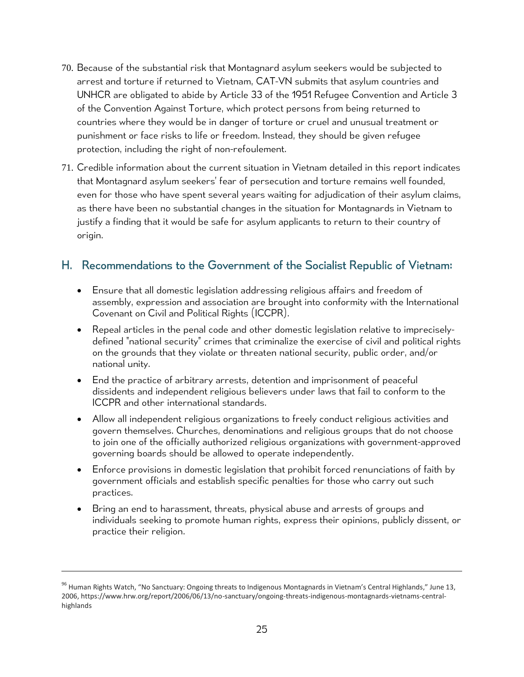- 70. Because of the substantial risk that Montagnard asylum seekers would be subjected to arrest and torture if returned to Vietnam, CAT-VN submits that asylum countries and UNHCR are obligated to abide by Article 33 of the 1951 Refugee Convention and Article 3 of the Convention Against Torture, which protect persons from being returned to countries where they would be in danger of torture or cruel and unusual treatment or punishment or face risks to life or freedom. Instead, they should be given refugee protection, including the right of non-refoulement.
- 71. Credible information about the current situation in Vietnam detailed in this report indicates that Montagnard asylum seekers' fear of persecution and torture remains well founded, even for those who have spent several years waiting for adjudication of their asylum claims, as there have been no substantial changes in the situation for Montagnards in Vietnam to justify a finding that it would be safe for asylum applicants to return to their country of origin.

### <span id="page-24-0"></span>H. Recommendations to the Government of the Socialist Republic of Vietnam:

- Ensure that all domestic legislation addressing religious affairs and freedom of assembly, expression and association are brought into conformity with the International Covenant on Civil and Political Rights (ICCPR).
- Repeal articles in the penal code and other domestic legislation relative to impreciselydefined "national security" crimes that criminalize the exercise of civil and political rights on the grounds that they violate or threaten national security, public order, and/or national unity.
- End the practice of arbitrary arrests, detention and imprisonment of peaceful dissidents and independent religious believers under laws that fail to conform to the ICCPR and other international standards.
- Allow all independent religious organizations to freely conduct religious activities and govern themselves. Churches, denominations and religious groups that do not choose to join one of the officially authorized religious organizations with government-approved governing boards should be allowed to operate independently.
- Enforce provisions in domestic legislation that prohibit forced renunciations of faith by government officials and establish specific penalties for those who carry out such practices.
- Bring an end to harassment, threats, physical abuse and arrests of groups and individuals seeking to promote human rights, express their opinions, publicly dissent, or practice their religion.

<sup>&</sup>lt;sup>96</sup> Human Rights Watch, "No Sanctuary: Ongoing threats to Indigenous Montagnards in Vietnam's Central Highlands," June 13, 2006, https://www.hrw.org/report/2006/06/13/no-sanctuary/ongoing-threats-indigenous-montagnards-vietnams-centralhighlands